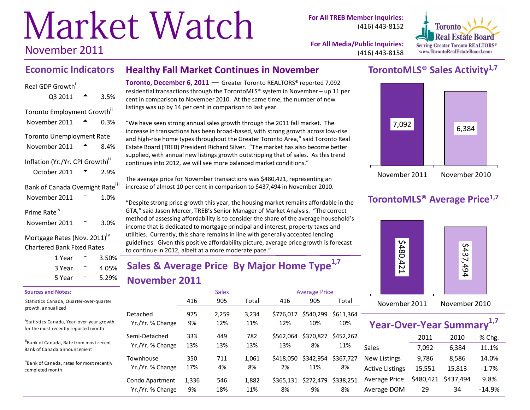# Market Watch November 2011

**For All TREB Member Inquiries:** (416) 443-8152



**For All Media/Public Inquiries:** (416) 443-8158

### **Economic Indicators Healthy Fall Market Continues in November**

Real GDP Growth<sup>i</sup>

| Q3 2011                                      | 3.5% |
|----------------------------------------------|------|
| Toronto Employment Growth"                   |      |
| November 2011                                | 0.3% |
| <b>Toronto Unemployment Rate</b>             |      |
| November 2011                                | 8.4% |
| Inflation (Yr./Yr. CPI Growth)"              |      |
| October 2011                                 | 2.9% |
| Bank of Canada Overnight Rate <sup>iii</sup> |      |
| November 2011                                | 1.0% |
| Prime Rate <sup>iv</sup>                     |      |
| November 2011                                | 3.0% |
| Mortgage Rates (Nov. 2011) <sup>iv</sup>     |      |

Chartered Bank Fixed Rates

| 1 Year | $3.50\%$ |
|--------|----------|
| 3 Year | $4.05\%$ |
| 5 Year | $5.29\%$ |

### **Sources and Notes:**

i Statistics Canada, Quarter-over-quarter growth, annualized

"Statistics Canada, Year-over-year growth for the most recently reported month

iiBank of Canada, Rate from most recent Bank of Canada announcement

ivBank of Canada, rates for most recently completed month

**Toronto, December 6, 2011** — Greater Toronto REALTORS® reported 7,092 residential transactions through the TorontoMLS® system in November – up 11 per cent in comparison to November 2010. At the same time, the number of new listings was up by 14 per cent in comparison to last year.

"We have seen strong annual sales growth through the 2011 fall market. The increase in transactions has been broad-based, with strong growth across low-rise and high-rise home types throughout the Greater Toronto Area," said Toronto Real Estate Board (TREB) President Richard Silver. "The market has also become better supplied, with annual new listings growth outstripping that of sales. As this trend continues into 2012, we will see more balanced market conditions."

The average price for November transactions was \$480,421, representing an increase of almost 10 per cent in comparison to \$437,494 in November 2010.

"Despite strong price growth this year, the housing market remains affordable in the GTA," said Jason Mercer, TREB's Senior Manager of Market Analysis. "The correct method of assessing affordability is to consider the share of the average household's income that is dedicated to mortgage principal and interest, property taxes and utilities. Currently, this share remains in line with generally accepted lending guidelines. Given this positive affordability picture, average price growth is forecast to continue in 2012, albeit at a more moderate pace."

# **Sales & Average Price By Major Home Type1,7 November 2011**

|                  |       | <b>Sales</b> |       | <b>Average Price</b> |           |           |  |  |
|------------------|-------|--------------|-------|----------------------|-----------|-----------|--|--|
|                  | 416   | 905          | Total | 416                  | 905       | Total     |  |  |
| Detached         | 975   | 2,259        | 3,234 | \$776.017            | \$540,299 | \$611.364 |  |  |
| Yr./Yr. % Change | 9%    | 12%          | 11%   | 12%                  | 10%       | 10%       |  |  |
| Semi-Detached    | 333   | 449          | 782   | \$562.064            | \$370,827 | \$452.262 |  |  |
| Yr./Yr. % Change | 13%   | 13%          | 13%   | 13%                  | 8%        | 11%       |  |  |
| Townhouse        | 350   | 711          | 1.061 | \$418,050            | \$342,954 | \$367.727 |  |  |
| Yr./Yr. % Change | 17%   | 4%           | 8%    | 2%                   | 11%       | 8%        |  |  |
| Condo Apartment  | 1,336 | 546          | 1,882 | \$365.131            | \$272,479 | \$338.251 |  |  |
| Yr./Yr. % Change | 9%    | 18%          | 11%   | 8%                   | 9%        | 8%        |  |  |

# **TorontoMLS® Sales Activity1,7**



# **TorontoMLS® Average Price1,7**



|                        | Year-Over-Year Summary <sup>1,7</sup> |           |          |  |  |  |  |  |  |  |  |  |
|------------------------|---------------------------------------|-----------|----------|--|--|--|--|--|--|--|--|--|
|                        | 2011                                  | 2010      | % Chg.   |  |  |  |  |  |  |  |  |  |
| Sales                  | 7,092                                 | 6,384     | 11.1%    |  |  |  |  |  |  |  |  |  |
| <b>New Listings</b>    | 9,786                                 | 8,586     | 14.0%    |  |  |  |  |  |  |  |  |  |
| <b>Active Listings</b> | 15,551                                | 15,813    | $-1.7%$  |  |  |  |  |  |  |  |  |  |
| Average Price          | \$480,421                             | \$437,494 | 9.8%     |  |  |  |  |  |  |  |  |  |
| Average DOM            | 29                                    | 34        | $-14.9%$ |  |  |  |  |  |  |  |  |  |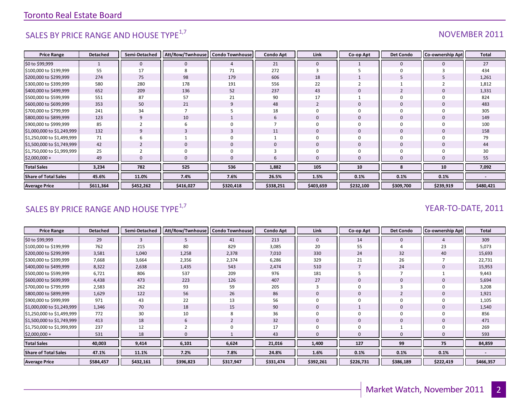# SALES BY PRICE RANGE AND HOUSE TYPE $^{1,7}$  NOVEMBER 2011

| <b>Price Range</b>          | <b>Detached</b> | Semi-Detached  | Att/Row/Twnhouse | <b>Condo Townhouse</b> | <b>Condo Apt</b> | Link           | Co-op Apt    | <b>Det Condo</b> | Co-ownership Apt | <b>Total</b> |
|-----------------------------|-----------------|----------------|------------------|------------------------|------------------|----------------|--------------|------------------|------------------|--------------|
| \$0 to \$99,999             |                 | $\mathbf 0$    | $\Omega$         | $\overline{4}$         | 21               | $\mathbf{0}$   |              | $\mathbf 0$      |                  | 27           |
| \$100,000 to \$199,999      | 55              | 17             | 8                | 71                     | 272              |                |              | $\Omega$         |                  | 434          |
| \$200,000 to \$299,999      | 274             | 75             | 98               | 179                    | 606              | 18             |              |                  |                  | 1,261        |
| \$300,000 to \$399,999      | 580             | 280            | 178              | 191                    | 556              | 22             |              |                  |                  | 1,812        |
| \$400,000 to \$499,999      | 652             | 209            | 136              | 52                     | 237              | 43             | $\mathbf{0}$ | $\overline{2}$   |                  | 1,331        |
| \$500,000 to \$599,999      | 551             | 87             | 57               | 21                     | 90               | 17             |              | $\Omega$         |                  | 824          |
| \$600,000 to \$699,999      | 353             | 50             | 21               | 9                      | 48               | $\overline{2}$ | $\mathbf{0}$ | $\mathbf 0$      |                  | 483          |
| \$700,000 to \$799,999      | 241             | 34             |                  |                        | 18               | $\Omega$       | 0            | $\mathbf 0$      |                  | 305          |
| \$800,000 to \$899,999      | 123             | 9              | 10               |                        | b                | $\Omega$       | $\mathbf{0}$ | $\mathbf 0$      |                  | 149          |
| \$900,000 to \$999,999      | 85              | 2              |                  | 0                      |                  | $\Omega$       | $\mathbf 0$  | $\Omega$         |                  | 100          |
| \$1,000,000 to \$1,249,999  | 132             | 9              |                  | 3                      | 11               | $\mathbf{0}$   | $\mathbf{0}$ | $\mathbf 0$      |                  | 158          |
| \$1,250,000 to \$1,499,999  | 71              | 6              |                  | 0                      |                  | $\Omega$       | $\mathbf 0$  | $\Omega$         |                  | 79           |
| \$1,500,000 to \$1,749,999  | 42              | $\overline{2}$ | $\mathbf{0}$     | $\mathbf 0$            | $\Omega$         | $\mathbf{0}$   | $\mathbf{0}$ | $\mathbf 0$      |                  | 44           |
| \$1,750,000 to \$1,999,999  | 25              |                |                  | 0                      |                  | $\Omega$       | 0            | $\Omega$         |                  | 30           |
| $$2,000,000+$               | 49              |                | $\Omega$         | $\mathbf{0}$           | h                | $\Omega$       | $\Omega$     |                  |                  | 55           |
| <b>Total Sales</b>          | 3,234           | 782            | 525              | 536                    | 1,882            | 105            | 10           | 8                | 10               | 7,092        |
| <b>Share of Total Sales</b> | 45.6%           | 11.0%          | 7.4%             | 7.6%                   | 26.5%            | 1.5%           | 0.1%         | 0.1%             | 0.1%             |              |
| <b>Average Price</b>        | \$611,364       | \$452,262      | \$416,027        | \$320,418              | \$338,251        | \$403,659      | \$232,100    | \$309,700        | \$239,919        | \$480,421    |

# SALES BY PRICE RANGE AND HOUSE TYPE<sup>1,7</sup>  $\sqrt{2}$  and  $\sqrt{2}$  and  $\sqrt{2}$  and  $\sqrt{2}$  and  $\sqrt{2}$  and  $\sqrt{2}$  and  $\sqrt{2}$  and  $\sqrt{2}$  and  $\sqrt{2}$  and  $\sqrt{2}$  and  $\sqrt{2}$  and  $\sqrt{2}$  and  $\sqrt{2}$  and  $\sqrt{2}$  and  $\sqrt{2}$  and

| <b>Price Range</b>          | <b>Detached</b> | Semi-Detached | Att/Row/Twnhouse | <b>Condo Townhouse</b> | <b>Condo Apt</b> | Link         | Co-op Apt    | <b>Det Condo</b> | <b>Co-ownership Apt</b> | Total     |
|-----------------------------|-----------------|---------------|------------------|------------------------|------------------|--------------|--------------|------------------|-------------------------|-----------|
| \$0 to \$99,999             | 29              | 3             | 5                | 41                     | 213              | $\mathbf{0}$ | 14           | $\mathbf{0}$     |                         | 309       |
| \$100,000 to \$199,999      | 762             | 215           | 80               | 829                    | 3,085            | 20           | 55           |                  | 23                      | 5,073     |
| \$200,000 to \$299,999      | 3,581           | 1,040         | 1,258            | 2,378                  | 7,010            | 330          | 24           | 32               | 40                      | 15,693    |
| \$300,000 to \$399,999      | 7,668           | 3,664         | 2,356            | 2,374                  | 6,286            | 329          | 21           | 26               |                         | 22,731    |
| \$400,000 to \$499,999      | 8,322           | 2,638         | 1,435            | 543                    | 2,474            | 510          |              | 24               |                         | 15,953    |
| \$500,000 to \$599,999      | 6,721           | 806           | 537              | 209                    | 976              | 181          |              |                  |                         | 9,443     |
| \$600,000 to \$699,999      | 4,438           | 473           | 223              | 126                    | 407              | 27           | $\mathbf{0}$ | $\mathbf 0$      |                         | 5,694     |
| \$700,000 to \$799,999      | 2,583           | 262           | 93               | 59                     | 205              |              | 0            |                  |                         | 3,208     |
| \$800,000 to \$899,999      | 1,629           | 122           | 56               | 26                     | 86               | $\Omega$     | $\mathbf{0}$ | 2                |                         | 1,921     |
| \$900,000 to \$999,999      | 971             | 43            | 22               | 13                     | 56               |              |              | 0                |                         | 1,105     |
| \$1,000,000 to \$1,249,999  | 1,346           | 70            | 18               | 15                     | 90               | $\Omega$     |              | 0                |                         | 1,540     |
| \$1,250,000 to \$1,499,999  | 772             | 30            | 10               | 8                      | 36               |              | 0            | 0                |                         | 856       |
| \$1,500,000 to \$1,749,999  | 413             | 18            | 6                | $\overline{2}$         | 32               | $\mathbf{0}$ | $\mathbf{0}$ | 0                |                         | 471       |
| \$1,750,000 to \$1,999,999  | 237             | 12            |                  | $\Omega$               | 17               | $\Omega$     | 0            |                  |                         | 269       |
| $$2,000,000+$               | 531             | 18            |                  |                        | 43               | $\Omega$     | $\mathbf{0}$ | 0                |                         | 593       |
| <b>Total Sales</b>          | 40,003          | 9,414         | 6,101            | 6,624                  | 21,016           | 1,400        | 127          | 99               | 75                      | 84,859    |
| <b>Share of Total Sales</b> | 47.1%           | 11.1%         | 7.2%             | 7.8%                   | 24.8%            | 1.6%         | 0.1%         | 0.1%             | 0.1%                    |           |
| <b>Average Price</b>        | \$584,457       | \$432,161     | \$396,823        | \$317,947              | \$331,474        | \$392,261    | \$226,731    | \$386,189        | \$222,419               | \$466,357 |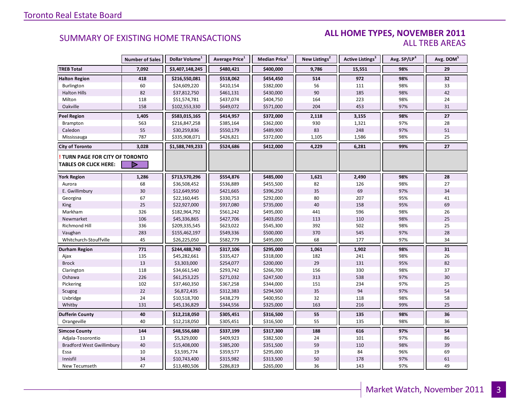### **ALL HOME TYPES, NOVEMBER 2011** ALL TREB AREAS

|                                  | <b>Number of Sales</b> | Dollar Volume <sup>1</sup> | Average Price <sup>1</sup> | Median Price <sup>1</sup> | New Listings <sup>2</sup> | Active Listings <sup>3</sup> | Avg. SP/LP <sup>4</sup> | Avg. DOM <sup>5</sup> |
|----------------------------------|------------------------|----------------------------|----------------------------|---------------------------|---------------------------|------------------------------|-------------------------|-----------------------|
| <b>TREB Total</b>                | 7,092                  | \$3,407,148,245            | \$480,421                  | \$400,000                 | 9,786                     | 15,551                       | 98%                     | 29                    |
| <b>Halton Region</b>             | 418                    | \$216,550,081              | \$518,062                  | \$454,450                 | 514                       | 972                          | 98%                     | 32                    |
| Burlington                       | 60                     | \$24,609,220               | \$410,154                  | \$382,000                 | 56                        | 111                          | 98%                     | 33                    |
| <b>Halton Hills</b>              | 82                     | \$37,812,750               | \$461,131                  | \$430,000                 | 90                        | 185                          | 98%                     | 42                    |
| Milton                           | 118                    | \$51,574,781               | \$437,074                  | \$404,750                 | 164                       | 223                          | 98%                     | 24                    |
| Oakville                         | 158                    | \$102,553,330              | \$649,072                  | \$571,000                 | 204                       | 453                          | 97%                     | 31                    |
| <b>Peel Region</b>               | 1,405                  | \$583,015,165              | \$414,957                  | \$372,000                 | 2,118                     | 3,155                        | 98%                     | 27                    |
| Brampton                         | 563                    | \$216,847,258              | \$385,164                  | \$362,000                 | 930                       | 1,321                        | 97%                     | 28                    |
| Caledon                          | 55                     | \$30,259,836               | \$550,179                  | \$489,900                 | 83                        | 248                          | 97%                     | 51                    |
| Mississauga                      | 787                    | \$335,908,071              | \$426,821                  | \$372,000                 | 1,105                     | 1,586                        | 98%                     | 25                    |
| <b>City of Toronto</b>           | 3,028                  | \$1,588,749,233            | \$524,686                  | \$412,000                 | 4,229                     | 6,281                        | 99%                     | 27                    |
| TURN PAGE FOR CITY OF TORONTO    |                        |                            |                            |                           |                           |                              |                         |                       |
| TABLES OR CLICK HERE:            |                        |                            |                            |                           |                           |                              |                         |                       |
| <b>York Region</b>               | 1,286                  | \$713,570,296              | \$554,876                  | \$485,000                 | 1,621                     | 2,490                        | 98%                     | 28                    |
| Aurora                           | 68                     | \$36,508,452               | \$536,889                  | \$455,500                 | 82                        | 126                          | 98%                     | 27                    |
| E. Gwillimbury                   | 30                     | \$12,649,950               | \$421,665                  | \$396,250                 | 35                        | 69                           | 97%                     | 34                    |
| Georgina                         | 67                     | \$22,160,445               | \$330,753                  | \$292,000                 | 80                        | 207                          | 95%                     | 41                    |
| <b>King</b>                      | 25                     | \$22,927,000               | \$917,080                  | \$735,000                 | 40                        | 158                          | 95%                     | 69                    |
| Markham                          | 326                    | \$182,964,792              | \$561,242                  | \$495,000                 | 441                       | 596                          | 98%                     | 26                    |
| Newmarket                        | 106                    | \$45,336,865               | \$427,706                  | \$403,050                 | 113                       | 110                          | 98%                     | 25                    |
| Richmond Hill                    | 336                    | \$209,335,545              | \$623,022                  | \$545,300                 | 392                       | 502                          | 98%                     | 25                    |
| Vaughan                          | 283                    | \$155,462,197              | \$549,336                  | \$500,000                 | 370                       | 545                          | 97%                     | 28                    |
| Whitchurch-Stouffville           | 45                     | \$26,225,050               | \$582,779                  | \$495,000                 | 68                        | 177                          | 97%                     | 34                    |
| Durham Region                    | 771                    | \$244,488,740              | \$317,106                  | \$295,000                 | 1,061                     | 1,902                        | 98%                     | 31                    |
| Ajax                             | 135                    | \$45,282,661               | \$335,427                  | \$318,000                 | 182                       | 241                          | 98%                     | 26                    |
| <b>Brock</b>                     | 13                     | \$3,303,000                | \$254,077                  | \$200,000                 | 29                        | 131                          | 95%                     | 82                    |
| Clarington                       | 118                    | \$34,661,540               | \$293,742                  | \$266,700                 | 156                       | 330                          | 98%                     | 37                    |
| Oshawa                           | 226                    | \$61,253,225               | \$271,032                  | \$247,500                 | 313                       | 538                          | 97%                     | 30                    |
| Pickering                        | 102                    | \$37,460,350               | \$367,258                  | \$344,000                 | 151                       | 234                          | 97%                     | 25                    |
| Scugog                           | 22                     | \$6,872,435                | \$312,383                  | \$294,500                 | 35                        | 94                           | 97%                     | 54                    |
| Uxbridge                         | 24                     | \$10,518,700               | \$438,279                  | \$400,950                 | 32                        | 118                          | 98%                     | 58                    |
| Whitby                           | 131                    | \$45,136,829               | \$344,556                  | \$325,000                 | 163                       | 216                          | 99%                     | 25                    |
| <b>Dufferin County</b>           | 40                     | \$12,218,050               | \$305,451                  | \$316,500                 | 55                        | 135                          | 98%                     | 36                    |
| Orangeville                      | 40                     | \$12,218,050               | \$305,451                  | \$316,500                 | 55                        | 135                          | 98%                     | 36                    |
| <b>Simcoe County</b>             | 144                    | \$48,556,680               | \$337,199                  | \$317,300                 | 188                       | 616                          | 97%                     | 54                    |
| Adjala-Tosorontio                | 13                     | \$5,329,000                | \$409,923                  | \$382,500                 | 24                        | 101                          | 97%                     | 86                    |
| <b>Bradford West Gwillimbury</b> | 40                     | \$15,408,000               | \$385,200                  | \$351,500                 | 59                        | 110                          | 98%                     | 39                    |
| Essa                             | 10                     | \$3,595,774                | \$359,577                  | \$295,000                 | 19                        | 84                           | 96%                     | 69                    |
| Innisfil                         | 34                     | \$10,743,400               | \$315,982                  | \$313,500                 | 50                        | 178                          | 97%                     | 61                    |
| New Tecumseth                    | 47                     | \$13,480,506               | \$286,819                  | \$265,000                 | 36                        | 143                          | 97%                     | 49                    |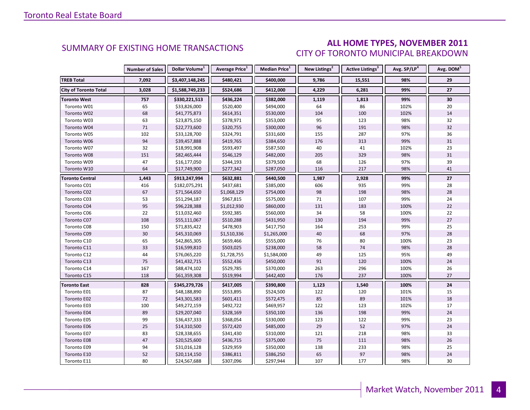### **ALL HOME TYPES, NOVEMBER 2011** CITY OF TORONTO MUNICIPAL BREAKDOWN

|                              | <b>Number of Sales</b> | Dollar Volume <sup>1</sup> | Average Price <sup>1</sup> | Median Price <sup>1</sup> | New Listings <sup>2</sup> | Active Listings <sup>3</sup> | Avg. SP/LP <sup>4</sup> | Avg. DOM <sup>5</sup> |
|------------------------------|------------------------|----------------------------|----------------------------|---------------------------|---------------------------|------------------------------|-------------------------|-----------------------|
| <b>TREB Total</b>            | 7,092                  | \$3,407,148,245            | \$480,421                  | \$400,000                 | 9,786                     | 15,551                       | 98%                     | 29                    |
| <b>City of Toronto Total</b> | 3,028                  | \$1,588,749,233            | \$524,686                  | \$412,000                 | 4,229                     | 6,281                        | 99%                     | 27                    |
| <b>Toronto West</b>          | 757                    | \$330,221,513              | \$436,224                  | \$382,000                 | 1,119                     | 1,813                        | 99%                     | 30                    |
| Toronto W01                  | 65                     | \$33,826,000               | \$520,400                  | \$494,000                 | 64                        | 86                           | 102%                    | 20                    |
| Toronto W02                  | 68                     | \$41,775,873               | \$614,351                  | \$530,000                 | 104                       | 100                          | 102%                    | 14                    |
| Toronto W03                  | 63                     | \$23,875,150               | \$378,971                  | \$353,000                 | 95                        | 123                          | 98%                     | 32                    |
| Toronto W04                  | 71                     | \$22,773,600               | \$320,755                  | \$300,000                 | 96                        | 191                          | 98%                     | 32                    |
| Toronto W05                  | 102                    | \$33,128,700               | \$324,791                  | \$331,600                 | 155                       | 287                          | 97%                     | 36                    |
| Toronto W06                  | 94                     | \$39,457,888               | \$419,765                  | \$384,650                 | 176                       | 313                          | 99%                     | 31                    |
| Toronto W07                  | 32                     | \$18,991,908               | \$593,497                  | \$587,500                 | 40                        | 41                           | 102%                    | 23                    |
| Toronto W08                  | 151                    | \$82,465,444               | \$546,129                  | \$482,000                 | 205                       | 329                          | 98%                     | 31                    |
| Toronto W09                  | 47                     | \$16,177,050               | \$344,193                  | \$379,500                 | 68                        | 126                          | 97%                     | 39                    |
| Toronto W10                  | 64                     | \$17,749,900               | \$277,342                  | \$287,050                 | 116                       | 217                          | 98%                     | 41                    |
| <b>Toronto Central</b>       | 1,443                  | \$913,247,994              | \$632,881                  | \$440,500                 | 1,987                     | 2,928                        | 99%                     | 27                    |
| Toronto C01                  | 416                    | \$182,075,291              | \$437,681                  | \$385,000                 | 606                       | 935                          | 99%                     | 28                    |
| Toronto C02                  | 67                     | \$71,564,650               | \$1,068,129                | \$754,000                 | 98                        | 198                          | 98%                     | 28                    |
| Toronto C03                  | 53                     | \$51,294,187               | \$967,815                  | \$575,000                 | 71                        | 107                          | 99%                     | 24                    |
| Toronto C04                  | 95                     | \$96,228,388               | \$1,012,930                | \$860,000                 | 131                       | 183                          | 100%                    | 22                    |
| Toronto C06                  | 22                     | \$13,032,460               | \$592,385                  | \$560,000                 | 34                        | 58                           | 100%                    | 22                    |
| Toronto C07                  | 108                    | \$55,111,067               | \$510,288                  | \$431,950                 | 130                       | 194                          | 99%                     | 27                    |
| Toronto C08                  | 150                    | \$71,835,422               | \$478,903                  | \$417,750                 | 164                       | 253                          | 99%                     | 25                    |
| Toronto C09                  | 30                     | \$45,310,069               | \$1,510,336                | \$1,265,000               | 40                        | 68                           | 97%                     | 28                    |
| Toronto C10                  | 65                     | \$42,865,305               | \$659,466                  | \$555,000                 | 76                        | 80                           | 100%                    | 23                    |
| Toronto C11                  | 33                     | \$16,599,810               | \$503,025                  | \$238,000                 | 58                        | 74                           | 98%                     | 28                    |
| Toronto C12                  | 44                     | \$76,065,220               | \$1,728,755                | \$1,584,000               | 49                        | 125                          | 95%                     | 49                    |
| Toronto C13                  | 75                     | \$41,432,715               | \$552,436                  | \$450,000                 | 91                        | 120                          | 100%                    | 24                    |
| Toronto C14                  | 167                    | \$88,474,102               | \$529,785                  | \$370,000                 | 263                       | 296                          | 100%                    | 26                    |
| Toronto C15                  | 118                    | \$61,359,308               | \$519,994                  | \$442,400                 | 176                       | 237                          | 100%                    | 27                    |
| <b>Toronto East</b>          | 828                    | \$345,279,726              | \$417,005                  | \$390,800                 | 1,123                     | 1,540                        | 100%                    | 24                    |
| Toronto E01                  | 87                     | \$48,188,890               | \$553,895                  | \$524,500                 | 122                       | 120                          | 101%                    | 15                    |
| Toronto E02                  | 72                     | \$43,301,583               | \$601,411                  | \$572,475                 | 85                        | 89                           | 101%                    | 18                    |
| Toronto E03                  | 100                    | \$49,272,159               | \$492,722                  | \$469,957                 | 122                       | 123                          | 102%                    | 17                    |
| Toronto E04                  | 89                     | \$29,207,040               | \$328,169                  | \$350,100                 | 136                       | 198                          | 99%                     | 24                    |
| Toronto E05                  | 99                     | \$36,437,333               | \$368,054                  | \$330,000                 | 123                       | 122                          | 99%                     | 23                    |
| Toronto E06                  | 25                     | \$14,310,500               | \$572,420                  | \$485,000                 | 29                        | 52                           | 97%                     | 24                    |
| Toronto E07                  | 83                     | \$28,338,655               | \$341,430                  | \$310,000                 | 121                       | 218                          | 98%                     | 33                    |
| <b>Toronto E08</b>           | 47                     | \$20,525,600               | \$436,715                  | \$375,000                 | 75                        | 111                          | 98%                     | 26                    |
| Toronto E09                  | 94                     | \$31,016,128               | \$329,959                  | \$350,000                 | 138                       | 233                          | 98%                     | 25                    |
| Toronto E10                  | 52                     | \$20,114,150               | \$386,811                  | \$386,250                 | 65                        | 97                           | 98%                     | 24                    |
| Toronto E11                  | 80                     | \$24,567,688               | \$307,096                  | \$297,944                 | 107                       | 177                          | 98%                     | 30                    |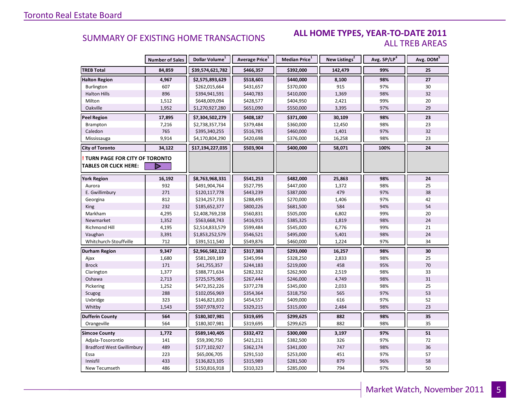### **ALL HOME TYPES, YEAR-TO-DATE 2011** ALL TREB AREAS

|                                  | <b>Number of Sales</b> | Dollar Volume <sup>1</sup> | <b>Average Price</b> <sup>1</sup> | Median Price <sup>1</sup> | New Listings <sup>2</sup> | Avg. SP/LP <sup>4</sup> | Avg. DOM <sup>5</sup> |
|----------------------------------|------------------------|----------------------------|-----------------------------------|---------------------------|---------------------------|-------------------------|-----------------------|
| <b>TREB Total</b>                | 84,859                 | \$39,574,621,782           | \$466,357                         | \$392,000                 | 142,479                   | 99%                     | 25                    |
| <b>Halton Region</b>             | 4,967                  | \$2,575,893,629            | \$518,601                         | \$440,000                 | 8,100                     | 98%                     | 27                    |
| Burlington                       | 607                    | \$262,015,664              | \$431,657                         | \$370,000                 | 915                       | 97%                     | 30                    |
| <b>Halton Hills</b>              | 896                    | \$394,941,591              | \$440,783                         | \$410,000                 | 1,369                     | 98%                     | 32                    |
| Milton                           | 1,512                  | \$648,009,094              | \$428,577                         | \$404,950                 | 2,421                     | 99%                     | 20                    |
| Oakville                         | 1,952                  | \$1,270,927,280            | \$651,090                         | \$550,000                 | 3,395                     | 97%                     | 29                    |
| <b>Peel Region</b>               | 17,895                 | \$7,304,502,279            | \$408,187                         | \$371,000                 | 30,109                    | 98%                     | 23                    |
| Brampton                         | 7,216                  | \$2,738,357,734            | \$379,484                         | \$360,000                 | 12,450                    | 98%                     | 23                    |
| Caledon                          | 765                    | \$395,340,255              | \$516,785                         | \$460,000                 | 1,401                     | 97%                     | 32                    |
| Mississauga                      | 9,914                  | \$4,170,804,290            | \$420,698                         | \$376,000                 | 16,258                    | 98%                     | 23                    |
| <b>City of Toronto</b>           | 34,122                 | \$17,194,227,035           | \$503,904                         | \$400,000                 | 58,071                    | 100%                    | 24                    |
| TURN PAGE FOR CITY OF TORONTO    |                        |                            |                                   |                           |                           |                         |                       |
| <b>TABLES OR CLICK HERE:</b>     |                        |                            |                                   |                           |                           |                         |                       |
| <b>York Region</b>               | 16,192                 | \$8,763,968,331            | \$541,253                         | \$482,000                 | 25,863                    | 98%                     | 24                    |
| Aurora                           | 932                    | \$491,904,764              | \$527,795                         | \$447,000                 | 1,372                     | 98%                     | 25                    |
| E. Gwillimbury                   | 271                    | \$120,117,778              | \$443,239                         | \$387,000                 | 479                       | 97%                     | 38                    |
| Georgina                         | 812                    | \$234,257,733              | \$288,495                         | \$270,000                 | 1,406                     | 97%                     | 42                    |
| King                             | 232                    | \$185,652,377              | \$800,226                         | \$681,500                 | 584                       | 94%                     | 54                    |
| Markham                          | 4,295                  | \$2,408,769,238            | \$560,831                         | \$505,000                 | 6,802                     | 99%                     | 20                    |
| Newmarket                        | 1,352                  | \$563,668,743              | \$416,915                         | \$385,325                 | 1,819                     | 98%                     | 24                    |
| Richmond Hill                    | 4,195                  | \$2,514,833,579            | \$599,484                         | \$545,000                 | 6,776                     | 99%                     | 21                    |
| Vaughan                          | 3,391                  | \$1,853,252,579            | \$546,521                         | \$495,000                 | 5,401                     | 98%                     | 24                    |
| Whitchurch-Stouffville           | 712                    | \$391,511,540              | \$549,876                         | \$460,000                 | 1,224                     | 97%                     | 34                    |
| Durham Region                    | 9,347                  | \$2,966,582,122            | \$317,383                         | \$293,000                 | 16,257                    | 98%                     | 30                    |
| Ajax                             | 1,680                  | \$581,269,189              | \$345,994                         | \$328,250                 | 2,833                     | 98%                     | 25                    |
| <b>Brock</b>                     | 171                    | \$41,755,357               | \$244,183                         | \$219,000                 | 458                       | 95%                     | 70                    |
| Clarington                       | 1,377                  | \$388,771,634              | \$282,332                         | \$262,900                 | 2,519                     | 98%                     | 33                    |
| Oshawa                           | 2,713                  | \$725,575,965              | \$267,444                         | \$246,000                 | 4,749                     | 98%                     | 31                    |
| Pickering                        | 1,252                  | \$472,352,226              | \$377,278                         | \$345,000                 | 2,033                     | 98%                     | 25                    |
| Scugog                           | 288                    | \$102,056,969              | \$354,364                         | \$318,750                 | 565                       | 97%                     | 53                    |
| Uxbridge                         | 323                    | \$146,821,810              | \$454,557                         | \$409,000                 | 616                       | 97%                     | 52                    |
| Whitby                           | 1,543                  | \$507,978,972              | \$329,215                         | \$315,000                 | 2,484                     | 98%                     | 23                    |
| <b>Dufferin County</b>           | 564                    | \$180,307,981              | \$319,695                         | \$299,625                 | 882                       | 98%                     | 35                    |
| Orangeville                      | 564                    | \$180,307,981              | \$319,695                         | \$299,625                 | 882                       | 98%                     | 35                    |
| <b>Simcoe County</b>             | 1,772                  | \$589,140,405              | \$332,472                         | \$300,000                 | 3,197                     | 97%                     | 51                    |
| Adjala-Tosorontio                | 141                    | \$59,390,750               | \$421,211                         | \$382,500                 | 326                       | 97%                     | 72                    |
| <b>Bradford West Gwillimbury</b> | 489                    | \$177,102,927              | \$362,174                         | \$341,000                 | 747                       | 98%                     | 36                    |
| Essa                             | 223                    | \$65,006,705               | \$291,510                         | \$253,000                 | 451                       | 97%                     | 57                    |
| Innisfil                         | 433                    | \$136,823,105              | \$315,989                         | \$281,500                 | 879                       | 96%                     | 58                    |
| New Tecumseth                    | 486                    | \$150,816,918              | \$310,323                         | \$285,000                 | 794                       | 97%                     | 50                    |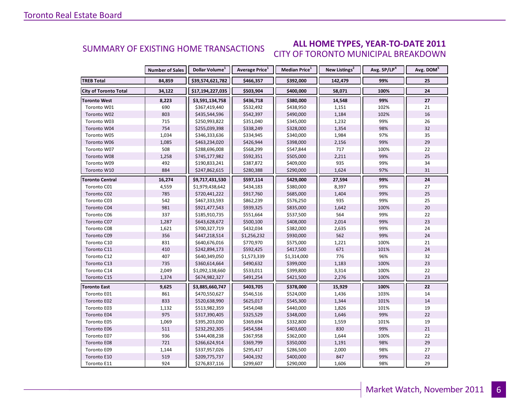### **ALL HOME TYPES, YEAR-TO-DATE 2011** CITY OF TORONTO MUNICIPAL BREAKDOWN SUMMARY OF EXISTING HOME TRANSACTIONS

|                              | <b>Number of Sales</b> | Dollar Volume <sup>1</sup> | <b>Average Price</b> <sup>1</sup> | Median Price <sup>1</sup> | New Listings <sup>2</sup> | Avg. SP/LP <sup>4</sup> | Avg. DOM <sup>5</sup> |
|------------------------------|------------------------|----------------------------|-----------------------------------|---------------------------|---------------------------|-------------------------|-----------------------|
| <b>TREB Total</b>            | 84,859                 | \$39,574,621,782           | \$466,357                         | \$392,000                 | 142,479                   | 99%                     | 25                    |
| <b>City of Toronto Total</b> | 34,122                 | \$17,194,227,035           | \$503,904                         | \$400,000                 | 58,071                    | 100%                    | 24                    |
| <b>Toronto West</b>          | 8,223                  | \$3,591,134,758            | \$436,718                         | \$380,000                 | 14,548                    | 99%                     | 27                    |
| Toronto W01                  | 690                    | \$367,419,440              | \$532,492                         | \$438,950                 | 1,151                     | 102%                    | 21                    |
| Toronto W02                  | 803                    | \$435,544,596              | \$542,397                         | \$490,000                 | 1,184                     | 102%                    | 16                    |
| Toronto W03                  | 715                    | \$250,993,822              | \$351,040                         | \$345,000                 | 1,232                     | 99%                     | 26                    |
| Toronto W04                  | 754                    | \$255,039,398              | \$338,249                         | \$328,000                 | 1,354                     | 98%                     | 32                    |
| Toronto W05                  | 1,034                  | \$346,333,636              | \$334,945                         | \$340,000                 | 1,984                     | 97%                     | 35                    |
| Toronto W06                  | 1,085                  | \$463,234,020              | \$426,944                         | \$398,000                 | 2,156                     | 99%                     | 29                    |
| Toronto W07                  | 508                    | \$288,696,008              | \$568,299                         | \$547,844                 | 717                       | 100%                    | 22                    |
| Toronto W08                  | 1,258                  | \$745,177,982              | \$592,351                         | \$505,000                 | 2,211                     | 99%                     | 25                    |
| Toronto W09                  | 492                    | \$190,833,241              | \$387,872                         | \$409,000                 | 935                       | 99%                     | 34                    |
| Toronto W10                  | 884                    | \$247,862,615              | \$280,388                         | \$290,000                 | 1,624                     | 97%                     | 31                    |
| <b>Toronto Central</b>       | 16,274                 | \$9,717,431,530            | \$597,114                         | \$429,000                 | 27,594                    | 99%                     | 24                    |
| Toronto C01                  | 4,559                  | \$1,979,438,642            | \$434,183                         | \$380,000                 | 8,397                     | 99%                     | 27                    |
| Toronto C02                  | 785                    | \$720,441,222              | \$917,760                         | \$685,000                 | 1,404                     | 99%                     | 25                    |
| Toronto C03                  | 542                    | \$467,333,593              | \$862,239                         | \$576,250                 | 935                       | 99%                     | 25                    |
| Toronto C04                  | 981                    | \$921,477,543              | \$939,325                         | \$835,000                 | 1,642                     | 100%                    | 20                    |
| Toronto C06                  | 337                    | \$185,910,735              | \$551,664                         | \$537,500                 | 564                       | 99%                     | 22                    |
| Toronto C07                  | 1,287                  | \$643,628,672              | \$500,100                         | \$408,000                 | 2,014                     | 99%                     | 23                    |
| Toronto C08                  | 1,621                  | \$700,327,719              | \$432,034                         | \$382,000                 | 2,635                     | 99%                     | 24                    |
| Toronto C09                  | 356                    | \$447,218,514              | \$1,256,232                       | \$930,000                 | 562                       | 99%                     | 24                    |
| Toronto C10                  | 831                    | \$640,676,016              | \$770,970                         | \$575,000                 | 1,221                     | 100%                    | 21                    |
| Toronto C11                  | 410                    | \$242,894,173              | \$592,425                         | \$417,500                 | 671                       | 101%                    | 24                    |
| Toronto C12                  | 407                    | \$640,349,050              | \$1,573,339                       | \$1,314,000               | 776                       | 96%                     | 32                    |
| Toronto C13                  | 735                    | \$360,614,664              | \$490,632                         | \$399,000                 | 1,183                     | 100%                    | 23                    |
| Toronto C14                  | 2,049                  | \$1,092,138,660            | \$533,011                         | \$399,800                 | 3,314                     | 100%                    | 22                    |
| Toronto C15                  | 1,374                  | \$674,982,327              | \$491,254                         | \$421,500                 | 2,276                     | 100%                    | 23                    |
| <b>Toronto East</b>          | 9,625                  | \$3,885,660,747            | \$403,705                         | \$378,000                 | 15,929                    | 100%                    | 22                    |
| Toronto E01                  | 861                    | \$470,550,627              | \$546,516                         | \$524,000                 | 1,436                     | 103%                    | 14                    |
| Toronto E02                  | 833                    | \$520,638,990              | \$625,017                         | \$545,300                 | 1,344                     | 101%                    | 14                    |
| Toronto E03                  | 1,132                  | \$513,982,359              | \$454,048                         | \$440,000                 | 1,826                     | 101%                    | 19                    |
| Toronto E04                  | 975                    | \$317,390,405              | \$325,529                         | \$348,000                 | 1,646                     | 99%                     | 22                    |
| Toronto E05                  | 1,069                  | \$395,203,030              | \$369,694                         | \$332,800                 | 1,559                     | 101%                    | 19                    |
| Toronto E06                  | 511                    | \$232,292,305              | \$454,584                         | \$403,600                 | 830                       | 99%                     | 21                    |
| Toronto E07                  | 936                    | \$344,408,238              | \$367,958                         | \$362,000                 | 1,644                     | 100%                    | 22                    |
| Toronto E08                  | 721                    | \$266,624,914              | \$369,799                         | \$350,000                 | 1,191                     | 98%                     | 29                    |
| Toronto E09                  | 1,144                  | \$337,957,026              | \$295,417                         | \$286,500                 | 2,000                     | 98%                     | 27                    |
| Toronto E10                  | 519                    | \$209,775,737              | \$404,192                         | \$400,000                 | 847                       | 99%                     | 22                    |
| Toronto E11                  | 924                    | \$276,837,116              | \$299,607                         | \$290,000                 | 1,606                     | 98%                     | 29                    |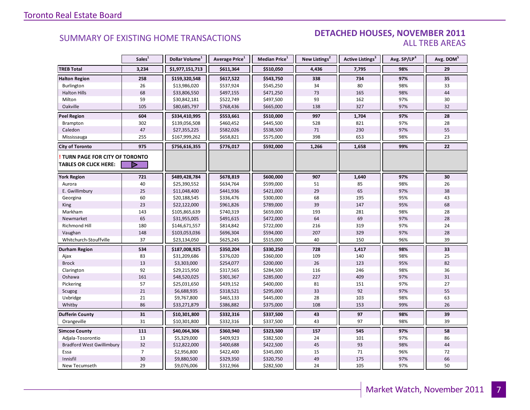### SUMMARY OF EXISTING HOME TRANSACTIONS **DETACHED HOUSES, NOVEMBER 2011** ALL TREB AREAS

|                                  | Sales <sup>1</sup> | Dollar Volume <sup>1</sup> | Average Price <sup>1</sup> | Median Price <sup>1</sup> | New Listings <sup>2</sup> | Active Listings <sup>3</sup> | Avg. SP/LP <sup>4</sup> | Avg. DOM <sup>5</sup> |
|----------------------------------|--------------------|----------------------------|----------------------------|---------------------------|---------------------------|------------------------------|-------------------------|-----------------------|
| <b>TREB Total</b>                | 3,234              | \$1,977,151,713            | \$611,364                  | \$510,050                 | 4,436                     | 7,795                        | 98%                     | 29                    |
| <b>Halton Region</b>             | 258                | \$159,320,548              | \$617,522                  | \$543,750                 | 338                       | 734                          | 97%                     | 35                    |
| Burlington                       | 26                 | \$13,986,020               | \$537,924                  | \$545,250                 | 34                        | 80                           | 98%                     | 33                    |
| <b>Halton Hills</b>              | 68                 | \$33,806,550               | \$497,155                  | \$471,250                 | 73                        | 165                          | 98%                     | 44                    |
| Milton                           | 59                 | \$30,842,181               | \$522,749                  | \$497,500                 | 93                        | 162                          | 97%                     | 30                    |
| Oakville                         | 105                | \$80,685,797               | \$768,436                  | \$665,000                 | 138                       | 327                          | 97%                     | 32                    |
| <b>Peel Region</b>               | 604                | \$334,410,995              | \$553,661                  | \$510,000                 | 997                       | 1,704                        | 97%                     | 28                    |
| Brampton                         | 302                | \$139,056,508              | \$460,452                  | \$445,500                 | 528                       | 821                          | 97%                     | 28                    |
| Caledon                          | 47                 | \$27,355,225               | \$582,026                  | \$538,500                 | 71                        | 230                          | 97%                     | 55                    |
| Mississauga                      | 255                | \$167,999,262              | \$658,821                  | \$575,000                 | 398                       | 653                          | 98%                     | 23                    |
| <b>City of Toronto</b>           | 975                | \$756,616,355              | \$776,017                  | \$592,000                 | 1,266                     | 1,658                        | 99%                     | 22                    |
| TURN PAGE FOR CITY OF TORONTO    |                    |                            |                            |                           |                           |                              |                         |                       |
| <b>TABLES OR CLICK HERE:</b>     | D                  |                            |                            |                           |                           |                              |                         |                       |
| <b>York Region</b>               | 721                | \$489,428,784              | \$678,819                  | \$600,000                 | 907                       | 1,640                        | 97%                     | 30                    |
| Aurora                           | 40                 | \$25,390,552               | \$634,764                  | \$599,000                 | 51                        | 85                           | 98%                     | 26                    |
| E. Gwillimbury                   | 25                 | \$11,048,400               | \$441,936                  | \$421,000                 | 29                        | 65                           | 97%                     | 38                    |
| Georgina                         | 60                 | \$20,188,545               | \$336,476                  | \$300,000                 | 68                        | 195                          | 95%                     | 43                    |
| <b>King</b>                      | 23                 | \$22,122,000               | \$961,826                  | \$789,000                 | 39                        | 147                          | 95%                     | 68                    |
| Markham                          | 143                | \$105,865,639              | \$740,319                  | \$659,000                 | 193                       | 281                          | 98%                     | 28                    |
| Newmarket                        | 65                 | \$31,955,005               | \$491,615                  | \$472,000                 | 64                        | 69                           | 97%                     | 28                    |
| Richmond Hill                    | 180                | \$146,671,557              | \$814,842                  | \$722,000                 | 216                       | 319                          | 97%                     | 24                    |
| Vaughan                          | 148                | \$103,053,036              | \$696,304                  | \$594,000                 | 207                       | 329                          | 97%                     | 28                    |
| Whitchurch-Stouffville           | 37                 | \$23,134,050               | \$625,245                  | \$515,000                 | 40                        | 150                          | 96%                     | 39                    |
| Durham Region                    | 534                | \$187,008,925              | \$350,204                  | \$330,250                 | 728                       | 1,417                        | 98%                     | 33                    |
| Ajax                             | 83                 | \$31,209,686               | \$376,020                  | \$360,000                 | 109                       | 140                          | 98%                     | 25                    |
| <b>Brock</b>                     | 13                 | \$3,303,000                | \$254,077                  | \$200,000                 | 26                        | 123                          | 95%                     | 82                    |
| Clarington                       | 92                 | \$29,215,950               | \$317,565                  | \$284,500                 | 116                       | 246                          | 98%                     | 36                    |
| Oshawa                           | 161                | \$48,520,025               | \$301,367                  | \$285,000                 | 227                       | 409                          | 97%                     | 31                    |
| Pickering                        | 57                 | \$25,031,650               | \$439,152                  | \$400,000                 | 81                        | 151                          | 97%                     | 27                    |
| Scugog                           | 21                 | \$6,688,935                | \$318,521                  | \$295,000                 | 33                        | 92                           | 97%                     | 55                    |
| Uxbridge                         | 21                 | \$9,767,800                | \$465,133                  | \$445,000                 | 28                        | 103                          | 98%                     | 63                    |
| Whitby                           | 86                 | \$33,271,879               | \$386,882                  | \$375,000                 | 108                       | 153                          | 99%                     | 26                    |
| <b>Dufferin County</b>           | 31                 | \$10,301,800               | \$332,316                  | \$337,500                 | 43                        | 97                           | 98%                     | 39                    |
| Orangeville                      | 31                 | \$10,301,800               | \$332,316                  | \$337,500                 | 43                        | 97                           | 98%                     | 39                    |
| <b>Simcoe County</b>             | 111                | \$40,064,306               | \$360,940                  | \$323,500                 | 157                       | 545                          | 97%                     | 58                    |
| Adjala-Tosorontio                | 13                 | \$5,329,000                | \$409,923                  | \$382,500                 | 24                        | 101                          | 97%                     | 86                    |
| <b>Bradford West Gwillimbury</b> | 32                 | \$12,822,000               | \$400,688                  | \$422,500                 | 45                        | 93                           | 98%                     | 44                    |
| Essa                             | $\overline{7}$     | \$2,956,800                | \$422,400                  | \$345,000                 | 15                        | 71                           | 96%                     | 72                    |
| Innisfil                         | 30                 | \$9,880,500                | \$329,350                  | \$320,750                 | 49                        | 175                          | 97%                     | 66                    |
| New Tecumseth                    | 29                 | \$9,076,006                | \$312,966                  | \$282,500                 | 24                        | 105                          | 97%                     | 50                    |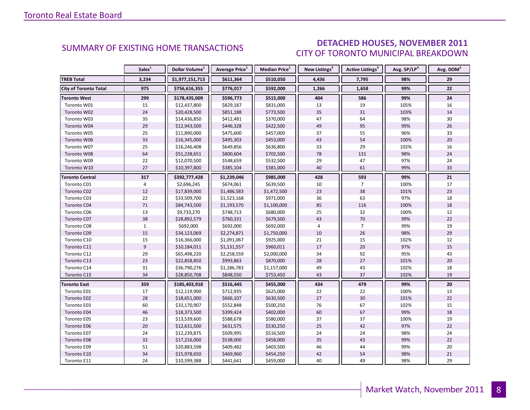### DETACHED HOUSES, NOVEMBER 2011 CITY OF TORONTO MUNICIPAL BREAKDOWN

<span id="page-7-0"></span>

|                              | Sales <sup>1</sup> | Dollar Volume <sup>1</sup> | <b>Average Price</b> <sup>1</sup> | <b>Median Price</b> <sup>1</sup> | New Listings <sup>2</sup> | Active Listings <sup>3</sup> | Avg. SP/LP <sup>4</sup> | Avg. DOM <sup>3</sup> |
|------------------------------|--------------------|----------------------------|-----------------------------------|----------------------------------|---------------------------|------------------------------|-------------------------|-----------------------|
| <b>TREB Total</b>            | 3,234              | \$1,977,151,713            | \$611,364                         | \$510,050                        | 4,436                     | 7,795                        | 98%                     | 29                    |
| <b>City of Toronto Total</b> | 975                | \$756,616,355              | \$776,017                         | \$592,000                        | 1,266                     | 1,658                        | 99%                     | 22                    |
| <b>Toronto West</b>          | 299                | \$178,435,009              | \$596,773                         | \$515,000                        | 404                       | 586                          | 99%                     | 24                    |
| Toronto W01                  | 15                 | \$12,437,800               | \$829,187                         | \$831,000                        | 13                        | 19                           | 105%                    | 16                    |
| Toronto W02                  | 24                 | \$20,428,500               | \$851,188                         | \$773,500                        | 35                        | 31                           | 103%                    | 14                    |
| Toronto W03                  | 35                 | \$14,436,850               | \$412,481                         | \$370,000                        | 47                        | 64                           | 98%                     | 30                    |
| Toronto W04                  | 29                 | \$12,943,500               | \$446,328                         | \$422,500                        | 49                        | 95                           | 99%                     | 26                    |
| Toronto W05                  | 25                 | \$11,890,000               | \$475,600                         | \$457,000                        | 37                        | 55                           | 96%                     | 33                    |
| Toronto W06                  | 33                 | \$16,345,000               | \$495,303                         | \$453,000                        | 43                        | 54                           | 100%                    | 20                    |
| Toronto W07                  | 25                 | \$16,246,408               | \$649,856                         | \$636,800                        | 33                        | 29                           | 102%                    | 16                    |
| Toronto W08                  | 64                 | \$51,238,651               | \$800,604                         | \$702,500                        | 78                        | 131                          | 98%                     | 24                    |
| Toronto W09                  | 22                 | \$12,070,500               | \$548,659                         | \$532,500                        | 29                        | 47                           | 97%                     | 24                    |
| Toronto W10                  | 27                 | \$10,397,800               | \$385,104                         | \$381,000                        | 40                        | 61                           | 99%                     | 33                    |
| Toronto Central              | 317                | \$392,777,428              | \$1,239,046                       | \$985,000                        | 428                       | 593                          | 99%                     | 21                    |
| Toronto C01                  | 4                  | \$2,696,245                | \$674,061                         | \$639,500                        | 10                        | $\overline{7}$               | 100%                    | 17                    |
| Toronto C02                  | 12                 | \$17,839,000               | \$1,486,583                       | \$1,472,500                      | 23                        | 38                           | 101%                    | 23                    |
| Toronto C03                  | 22                 | \$33,509,700               | \$1,523,168                       | \$971,000                        | 36                        | 63                           | 97%                     | 18                    |
| Toronto C04                  | $71\,$             | \$84,743,500               | \$1,193,570                       | \$1,100,000                      | 85                        | 116                          | 100%                    | 18                    |
| Toronto C06                  | 13                 | \$9,733,270                | \$748,713                         | \$680,000                        | 25                        | 32                           | 100%                    | 12                    |
| Toronto C07                  | 38                 | \$28,892,579               | \$760,331                         | \$679,500                        | 43                        | 70                           | 99%                     | 22                    |
| Toronto C08                  | $\mathbf{1}$       | \$692,000                  | \$692,000                         | \$692,000                        | $\overline{4}$            | $\overline{7}$               | 99%                     | 19                    |
| Toronto C09                  | 15                 | \$34,123,069               | \$2,274,871                       | \$1,750,000                      | 10                        | 26                           | 98%                     | 29                    |
| Toronto C10                  | 15                 | \$16,366,000               | \$1,091,067                       | \$925,000                        | 21                        | 15                           | 102%                    | 12                    |
| Toronto C11                  | 9                  | \$10,184,011               | \$1,131,557                       | \$960,011                        | 17                        | 20                           | 97%                     | 15                    |
| Toronto C12                  | 29                 | \$65,498,220               | \$2,258,559                       | \$2,000,000                      | 34                        | 92                           | 95%                     | 43                    |
| Toronto C13                  | 23                 | \$22,858,850               | \$993,863                         | \$870,000                        | 28                        | 27                           | 101%                    | 20                    |
| Toronto C14                  | 31                 | \$36,790,276               | \$1,186,783                       | \$1,157,000                      | 49                        | 43                           | 102%                    | 18                    |
| Toronto C15                  | 34                 | \$28,850,708               | \$848,550                         | \$753,450                        | 43                        | 37                           | 102%                    | 19                    |
| <b>Toronto East</b>          | 359                | \$185,403,918              | \$516,445                         | \$455,000                        | 434                       | 479                          | 99%                     | 20                    |
| Toronto E01                  | 17                 | \$12,119,900               | \$712,935                         | \$625,000                        | 22                        | 22                           | 100%                    | 13                    |
| Toronto E02                  | 28                 | \$18,651,000               | \$666,107                         | \$630,500                        | 27                        | 30                           | 101%                    | 22                    |
| Toronto E03                  | 60                 | \$33,170,907               | \$552,848                         | \$500,250                        | 76                        | 67                           | 102%                    | 15                    |
| Toronto E04                  | 46                 | \$18,373,500               | \$399,424                         | \$402,000                        | 60                        | 67                           | 99%                     | 18                    |
| Toronto E05                  | 23                 | \$13,539,600               | \$588,678                         | \$580,000                        | 37                        | 37                           | 100%                    | 19                    |
| Toronto E06                  | $20\,$             | \$12,631,500               | \$631,575                         | \$530,250                        | 25                        | 42                           | 97%                     | 22                    |
| Toronto E07                  | 24                 | \$12,239,875               | \$509,995                         | \$516,500                        | 24                        | 24                           | 98%                     | 24                    |
| Toronto E08                  | 32                 | \$17,216,000               | \$538,000                         | \$458,000                        | 35                        | 43                           | 99%                     | 22                    |
| Toronto E09                  | 51                 | \$20,883,598               | \$409,482                         | \$403,500                        | 46                        | 44                           | 99%                     | 20                    |
| Toronto E10                  | 34                 | \$15,978,650               | \$469,960                         | \$454,250                        | 42                        | 54                           | 98%                     | 21                    |
| Toronto E11                  | 24                 | \$10,599,388               | \$441,641                         | \$459,000                        | 40                        | 49                           | 98%                     | 29                    |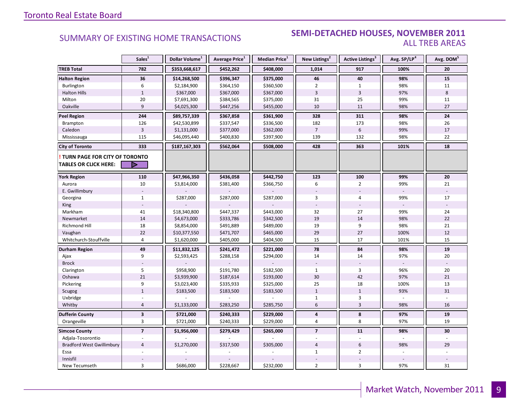### **Industrial Leasing SUMMARY OF EXISTING HOME TRANSACTIONS SEMI-DETACHED HOUSES, NOVEMBER 2011** ALL TREB AREAS

|                                                               | Sales <sup>1</sup>      | Dollar Volume <sup>1</sup> | Average Price <sup>1</sup> | Median Price <sup>1</sup> | New Listings <sup>2</sup> | Active Listings <sup>3</sup> | Avg. SP/LP <sup>4</sup> | Avg. DOM <sup>5</sup> |
|---------------------------------------------------------------|-------------------------|----------------------------|----------------------------|---------------------------|---------------------------|------------------------------|-------------------------|-----------------------|
| <b>TREB Total</b>                                             | 782                     | \$353,668,617              | \$452,262                  | \$408,000                 | 1,014                     | 917                          | 100%                    | 20                    |
| <b>Halton Region</b>                                          | 36                      | \$14,268,500               | \$396,347                  | \$375,000                 | 46                        | 40                           | 98%                     | 15                    |
| Burlington                                                    | 6                       | \$2,184,900                | \$364,150                  | \$360,500                 | $\overline{2}$            | $\mathbf{1}$                 | 98%                     | 11                    |
| <b>Halton Hills</b>                                           | $\mathbf{1}$            | \$367,000                  | \$367,000                  | \$367,000                 | $\overline{3}$            | $\overline{3}$               | 97%                     | 8                     |
| Milton                                                        | 20                      | \$7,691,300                | \$384,565                  | \$375,000                 | 31                        | 25                           | 99%                     | 11                    |
| Oakville                                                      | $\overline{9}$          | \$4,025,300                | \$447,256                  | \$455,000                 | 10                        | 11                           | 98%                     | 27                    |
| <b>Peel Region</b>                                            | 244                     | \$89,757,339               | \$367,858                  | \$361,900                 | 328                       | 311                          | 98%                     | 24                    |
| Brampton                                                      | 126                     | \$42,530,899               | \$337,547                  | \$336,500                 | 182                       | 173                          | 98%                     | 26                    |
| Caledon                                                       | $\overline{3}$          | \$1,131,000                | \$377,000                  | \$362,000                 | $\overline{7}$            | 6                            | 99%                     | 17                    |
| Mississauga                                                   | 115                     | \$46,095,440               | \$400,830                  | \$397,900                 | 139                       | 132                          | 98%                     | 22                    |
| <b>City of Toronto</b>                                        | 333                     | \$187,167,303              | \$562,064                  | \$508,000                 | 428                       | 363                          | 101%                    | 18                    |
| TURN PAGE FOR CITY OF TORONTO<br><b>TABLES OR CLICK HERE:</b> | ▷                       |                            |                            |                           |                           |                              |                         |                       |
|                                                               | 110                     | \$47,966,350               | \$436,058                  | \$442,750                 | 123                       | 100                          | 99%                     | 20                    |
| <b>York Region</b>                                            | 10                      |                            | \$381,400                  |                           | 6                         | $\overline{2}$               | 99%                     | 21                    |
| Aurora                                                        |                         | \$3,814,000                |                            | \$366,750                 |                           |                              |                         |                       |
| E. Gwillimbury                                                |                         |                            |                            |                           | 3                         | 4                            | 99%                     |                       |
| Georgina                                                      | $\mathbf{1}$            | \$287,000                  | \$287,000                  | \$287,000                 |                           |                              |                         | 17                    |
| King<br>Markham                                               |                         | \$18,340,800               | \$447,337                  | \$443,000                 |                           | 27                           | 99%                     |                       |
|                                                               | 41<br>14                |                            |                            |                           | 32<br>19                  | 14                           |                         | 24<br>22              |
| Newmarket<br>Richmond Hill                                    | 18                      | \$4,673,000<br>\$8,854,000 | \$333,786<br>\$491,889     | \$342,500<br>\$489,000    | 19                        | 9                            | 98%<br>98%              | 21                    |
|                                                               | 22                      |                            |                            |                           | 29                        | 27                           |                         | 12                    |
| Vaughan                                                       | $\overline{4}$          | \$10,377,550               | \$471,707                  | \$465,000                 |                           |                              | 100%                    |                       |
| Whitchurch-Stouffville                                        |                         | \$1,620,000                | \$405,000                  | \$404,500                 | 15                        | 17                           | 101%                    | 15                    |
| <b>Durham Region</b>                                          | 49                      | \$11,832,125               | \$241,472                  | \$221,000                 | 78                        | 84                           | 98%                     | 19                    |
| Ajax                                                          | 9                       | \$2,593,425                | \$288,158                  | \$294,000                 | 14                        | 14                           | 97%                     | 20                    |
| <b>Brock</b>                                                  |                         |                            |                            |                           |                           |                              |                         |                       |
| Clarington                                                    | 5                       | \$958,900                  | \$191,780                  | \$182,500                 | $\mathbf{1}$              | 3                            | 96%                     | 20                    |
| Oshawa                                                        | 21                      | \$3,939,900                | \$187,614                  | \$193,000                 | 30                        | 42                           | 97%                     | 21                    |
| Pickering                                                     | 9                       | \$3,023,400                | \$335,933                  | \$325,000                 | 25                        | 18                           | 100%                    | 13                    |
| Scugog                                                        | $1\,$                   | \$183,500                  | \$183,500                  | \$183,500                 | $\mathbf{1}$              | $\mathbf{1}$                 | 93%                     | 31                    |
| Uxbridge                                                      |                         |                            |                            |                           | $\mathbf{1}$              | 3                            |                         |                       |
| Whitby                                                        | $\overline{4}$          | \$1,133,000                | \$283,250                  | \$285,750                 | 6                         | $\overline{3}$               | 98%                     | 16                    |
| <b>Dufferin County</b>                                        | $\overline{\mathbf{3}}$ | \$721,000                  | \$240,333                  | \$229,000                 | 4                         | 8                            | 97%                     | 19                    |
| Orangeville                                                   | 3                       | \$721,000                  | \$240,333                  | \$229,000                 | 4                         | 8                            | 97%                     | 19                    |
| <b>Simcoe County</b>                                          | $\overline{7}$          | \$1,956,000                | \$279,429                  | \$265,000                 | $\overline{7}$            | 11                           | 98%                     | 30                    |
| Adjala-Tosorontio                                             |                         |                            |                            |                           |                           |                              |                         |                       |
| <b>Bradford West Gwillimbury</b>                              | $\overline{4}$          | \$1,270,000                | \$317,500                  | \$305,000                 | $\overline{4}$            | 6                            | 98%                     | 29                    |
| Essa                                                          |                         |                            |                            |                           | $\mathbf{1}$              | $\overline{2}$               |                         |                       |
| Innisfil                                                      |                         |                            |                            |                           |                           |                              |                         |                       |
| New Tecumseth                                                 | 3                       | \$686,000                  | \$228,667                  | \$232,000                 | $\overline{2}$            | $\overline{3}$               | 97%                     | 31                    |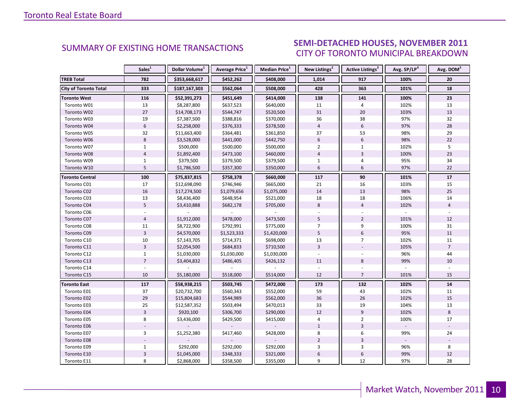### $\Omega$ VEMRER 2011 CITY OF TORONTO MUNICIPAL BREAKDOWN SUMMARY OF EXISTING HOME TRANSACTIONS **SEMI-DETACHED HOUSES, NOVEMBER 2011**

|                              | Sales <sup>1</sup> | Dollar Volume <sup>1</sup> | <b>Average Price</b> <sup>1</sup> | Median Price <sup>1</sup> | New Listings <sup>2</sup> | Active Listings <sup>3</sup> | Avg. SP/LP <sup>4</sup> | Avg. DOM <sup>5</sup> |
|------------------------------|--------------------|----------------------------|-----------------------------------|---------------------------|---------------------------|------------------------------|-------------------------|-----------------------|
| <b>TREB Total</b>            | 782                | \$353,668,617              | \$452,262                         | \$408,000                 | 1,014                     | 917                          | 100%                    | 20                    |
| <b>City of Toronto Total</b> | 333                | \$187,167,303              | \$562,064                         | \$508,000                 | 428                       | 363                          | 101%                    | 18                    |
| <b>Toronto West</b>          | 116                | \$52,391,273               | \$451,649                         | \$414,000                 | 138                       | 141                          | 100%                    | 23                    |
| Toronto W01                  | 13                 | \$8,287,800                | \$637,523                         | \$640,000                 | 11                        | 4                            | 102%                    | 13                    |
| Toronto W02                  | 27                 | \$14,708,173               | \$544,747                         | \$520,500                 | 31                        | 20                           | 103%                    | 13                    |
| Toronto W03                  | 19                 | \$7,387,500                | \$388,816                         | \$370,000                 | 36                        | 38                           | 97%                     | 32                    |
| Toronto W04                  | $6\phantom{a}$     | \$2,258,000                | \$376,333                         | \$378,500                 | $\overline{4}$            | $6\phantom{a}$               | 97%                     | 28                    |
| Toronto W05                  | 32                 | \$11,663,400               | \$364,481                         | \$361,850                 | 37                        | 53                           | 98%                     | 29                    |
| Toronto W06                  | 8                  | \$3,528,000                | \$441,000                         | \$442,750                 | 6                         | $6\,$                        | 98%                     | 22                    |
| Toronto W07                  | $\mathbf{1}$       | \$500,000                  | \$500,000                         | \$500,000                 | $\overline{2}$            | $\mathbf{1}$                 | 102%                    | 5                     |
| Toronto W08                  | $\overline{4}$     | \$1,892,400                | \$473,100                         | \$460,000                 | $\overline{4}$            | $\overline{3}$               | 100%                    | 23                    |
| Toronto W09                  | $\mathbf{1}$       | \$379,500                  | \$379,500                         | \$379,500                 | $\mathbf{1}$              | 4                            | 95%                     | 34                    |
| Toronto W10                  | 5                  | \$1,786,500                | \$357,300                         | \$350,000                 | 6                         | 6                            | 97%                     | 22                    |
| <b>Toronto Central</b>       | 100                | \$75,837,815               | \$758,378                         | \$660,000                 | 117                       | 90                           | 101%                    | 17                    |
| Toronto C01                  | 17                 | \$12,698,090               | \$746,946                         | \$665,000                 | 21                        | 16                           | 103%                    | 15                    |
| Toronto C02                  | 16                 | \$17,274,500               | \$1,079,656                       | \$1,075,000               | 14                        | 13                           | 98%                     | 25                    |
| Toronto C03                  | 13                 | \$8,436,400                | \$648,954                         | \$521,000                 | 18                        | 18                           | 106%                    | 14                    |
| Toronto C04                  | 5                  | \$3,410,888                | \$682,178                         | \$705,000                 | 8                         | $\overline{4}$               | 102%                    | $\overline{4}$        |
| Toronto C06                  |                    |                            |                                   |                           |                           |                              |                         |                       |
| Toronto C07                  | $\overline{4}$     | \$1,912,000                | \$478,000                         | \$473,500                 | 5                         | $\overline{2}$               | 101%                    | 12                    |
| Toronto C08                  | 11                 | \$8,722,900                | \$792,991                         | \$775,000                 | $\overline{7}$            | 9                            | 100%                    | 31                    |
| Toronto C09                  | $\overline{3}$     | \$4,570,000                | \$1,523,333                       | \$1,420,000               | 5                         | 6                            | 95%                     | 11                    |
| Toronto C10                  | 10                 | \$7,143,705                | \$714,371                         | \$698,000                 | 13                        | $\overline{7}$               | 102%                    | 11                    |
| Toronto C11                  | $\overline{3}$     | \$2,054,500                | \$684,833                         | \$710,500                 | $\overline{3}$            |                              | 105%                    | $\overline{7}$        |
| Toronto C12                  | $\mathbf{1}$       | \$1,030,000                | \$1,030,000                       | \$1,030,000               |                           |                              | 96%                     | 44                    |
| Toronto C13                  | $\overline{7}$     | \$3,404,832                | \$486,405                         | \$426,132                 | 11                        | 8                            | 99%                     | 10                    |
| Toronto C14                  |                    |                            |                                   |                           |                           |                              |                         |                       |
| Toronto C15                  | 10                 | \$5,180,000                | \$518,000                         | \$514,000                 | 12                        | $\overline{7}$               | 101%                    | 15                    |
| <b>Toronto East</b>          | 117                | \$58,938,215               | \$503,745                         | \$472,000                 | 173                       | 132                          | 102%                    | 14                    |
| Toronto E01                  | 37                 | \$20,732,700               | \$560,343                         | \$552,000                 | 59                        | 43                           | 102%                    | 11                    |
| Toronto E02                  | 29                 | \$15,804,683               | \$544,989                         | \$562,000                 | 36                        | 26                           | 102%                    | 15                    |
| Toronto E03                  | 25                 | \$12,587,352               | \$503,494                         | \$470,013                 | 33                        | 19                           | 104%                    | 13                    |
| Toronto E04                  | $\overline{3}$     | \$920,100                  | \$306,700                         | \$290,000                 | 12                        | 9                            | 102%                    | 8                     |
| Toronto E05                  | 8                  | \$3,436,000                | \$429,500                         | \$415,000                 | $\overline{4}$            | $\overline{2}$               | 100%                    | 17                    |
| Toronto E06                  |                    |                            |                                   |                           | $\mathbf{1}$              | $\overline{3}$               |                         |                       |
| Toronto E07                  | 3                  | \$1,252,380                | \$417,460                         | \$428,000                 | 8                         | 6                            | 99%                     | 24                    |
| Toronto E08                  |                    |                            |                                   |                           | $\overline{2}$            | $\overline{3}$               |                         |                       |
| Toronto E09                  | $\mathbf{1}$       | \$292,000                  | \$292,000                         | \$292,000                 | 3                         | 3                            | 96%                     | 8                     |
| Toronto E10                  | $\overline{3}$     | \$1,045,000                | \$348,333                         | \$321,000                 | $6\phantom{1}$            | 6                            | 99%                     | 12                    |
| Toronto E11                  | 8                  | \$2,868,000                | \$358,500                         | \$355,000                 | 9                         | 12                           | 97%                     | 28                    |

<span id="page-9-0"></span>**Page 3 July 2010**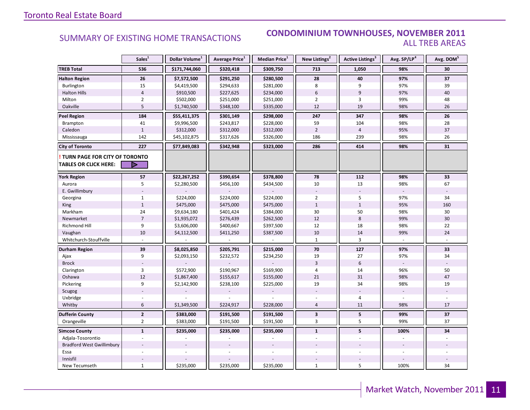### SUMMARY OF EXISTING HOME TRANSACTIONS **CONDOMINIUM TOWNHOUSES, NOVEMBER 2011** ALL TREB AREAS

|                                                               | Sales <sup>1</sup> | Dollar Volume <sup>1</sup> | Average Price <sup>1</sup> | Median Price <sup>1</sup> | New Listings <sup>2</sup> | Active Listings <sup>3</sup> | Avg. SP/LP <sup>4</sup> | Avg. DOM <sup>5</sup> |
|---------------------------------------------------------------|--------------------|----------------------------|----------------------------|---------------------------|---------------------------|------------------------------|-------------------------|-----------------------|
| <b>TREB Total</b>                                             | 536                | \$171,744,060              | \$320,418                  | \$309,750                 | 713                       | 1,050                        | 98%                     | 30                    |
| <b>Halton Region</b>                                          | 26                 | \$7,572,500                | \$291,250                  | \$280,500                 | 28                        | 40                           | 97%                     | 37                    |
| Burlington                                                    | 15                 | \$4,419,500                | \$294,633                  | \$281,000                 | 8                         | 9                            | 97%                     | 39                    |
| <b>Halton Hills</b>                                           | $\overline{4}$     | \$910,500                  | \$227,625                  | \$234,000                 | $6\,$                     | 9                            | 97%                     | 40                    |
| Milton                                                        | $\overline{2}$     | \$502,000                  | \$251,000                  | \$251,000                 | $\overline{2}$            | 3                            | 99%                     | 48                    |
| Oakville                                                      | 5                  | \$1,740,500                | \$348,100                  | \$335,000                 | 12                        | 19                           | 98%                     | 26                    |
| <b>Peel Region</b>                                            | 184                | \$55,411,375               | \$301,149                  | \$298,000                 | 247                       | 347                          | 98%                     | 26                    |
| Brampton                                                      | 41                 | \$9,996,500                | \$243,817                  | \$228,000                 | 59                        | 104                          | 98%                     | 28                    |
| Caledon                                                       | $\mathbf{1}$       | \$312,000                  | \$312,000                  | \$312,000                 | $\overline{2}$            | $\overline{4}$               | 95%                     | 37                    |
| Mississauga                                                   | 142                | \$45,102,875               | \$317,626                  | \$326,000                 | 186                       | 239                          | 98%                     | 26                    |
| <b>City of Toronto</b>                                        | 227                | \$77,849,083               | \$342,948                  | \$323,000                 | 286                       | 414                          | 98%                     | 31                    |
| TURN PAGE FOR CITY OF TORONTO<br><b>TABLES OR CLICK HERE:</b> | D                  |                            |                            |                           |                           |                              |                         |                       |
| <b>York Region</b>                                            | 57                 | \$22,267,252               | \$390,654                  | \$378,800                 | 78                        | 112                          | 98%                     | 33                    |
| Aurora                                                        | 5                  | \$2,280,500                | \$456,100                  | \$434,500                 | 10                        | 13                           | 98%                     | 67                    |
| E. Gwillimbury                                                |                    |                            |                            |                           |                           |                              |                         |                       |
| Georgina                                                      | $\mathbf{1}$       | \$224,000                  | \$224,000                  | \$224,000                 | $\overline{2}$            | 5                            | 97%                     | 34                    |
| King                                                          | $\mathbf{1}$       | \$475,000                  | \$475,000                  | \$475,000                 | $1\,$                     | $\mathbf{1}$                 | 95%                     | 160                   |
| Markham                                                       | 24                 | \$9,634,180                | \$401,424                  | \$384,000                 | 30                        | 50                           | 98%                     | 30                    |
| Newmarket                                                     | $\overline{7}$     | \$1,935,072                | \$276,439                  | \$262,500                 | 12                        | $\bf 8$                      | 99%                     | 30                    |
| Richmond Hill                                                 | 9                  | \$3,606,000                | \$400,667                  | \$397,500                 | 12                        | 18                           | 98%                     | 22                    |
| Vaughan                                                       | 10                 | \$4,112,500                | \$411,250                  | \$387,500                 | 10                        | 14                           | 99%                     | 24                    |
| Whitchurch-Stouffville                                        |                    |                            |                            |                           | $\mathbf{1}$              | 3                            |                         |                       |
| <b>Durham Region</b>                                          | 39                 | \$8,025,850                | \$205,791                  | \$215,000                 | 70                        | 127                          | 97%                     | 33                    |
| Ajax                                                          | 9                  | \$2,093,150                | \$232,572                  | \$234,250                 | 19                        | 27                           | 97%                     | 34                    |
| <b>Brock</b>                                                  |                    |                            |                            |                           | $\overline{3}$            | 6                            |                         |                       |
| Clarington                                                    | 3                  | \$572,900                  | \$190,967                  | \$169,900                 | $\overline{4}$            | 14                           | 96%                     | 50                    |
| Oshawa                                                        | 12                 | \$1,867,400                | \$155,617                  | \$155,000                 | 21                        | 31                           | 98%                     | 47                    |
| Pickering                                                     | 9                  | \$2,142,900                | \$238,100                  | \$225,000                 | 19                        | 34                           | 98%                     | 19                    |
| Scugog                                                        |                    |                            |                            |                           |                           |                              |                         |                       |
| Uxbridge                                                      |                    |                            |                            |                           |                           | $\overline{4}$               |                         |                       |
| Whitby                                                        | 6                  | \$1,349,500                | \$224,917                  | \$228,000                 | $\overline{4}$            | 11                           | 98%                     | 17                    |
| <b>Dufferin County</b>                                        | $\overline{2}$     | \$383,000                  | \$191,500                  | \$191,500                 | $\mathbf{3}$              | $\overline{\mathbf{5}}$      | 99%                     | 37                    |
| Orangeville                                                   | $\overline{2}$     | \$383,000                  | \$191,500                  | \$191,500                 | 3                         | 5                            | 99%                     | 37                    |
| <b>Simcoe County</b>                                          | $\mathbf{1}$       | \$235,000                  | \$235,000                  | \$235,000                 | $\mathbf{1}$              | 5                            | 100%                    | 34                    |
| Adjala-Tosorontio                                             |                    |                            |                            |                           |                           |                              |                         |                       |
| <b>Bradford West Gwillimbury</b>                              |                    |                            |                            |                           |                           |                              |                         |                       |
| Essa                                                          |                    |                            |                            |                           |                           |                              |                         |                       |
| Innisfil                                                      |                    |                            |                            |                           |                           |                              |                         |                       |
| New Tecumseth                                                 | $\mathbf{1}$       | \$235,000                  | \$235,000                  | \$235,000                 | $\mathbf{1}$              | 5                            | 100%                    | 34                    |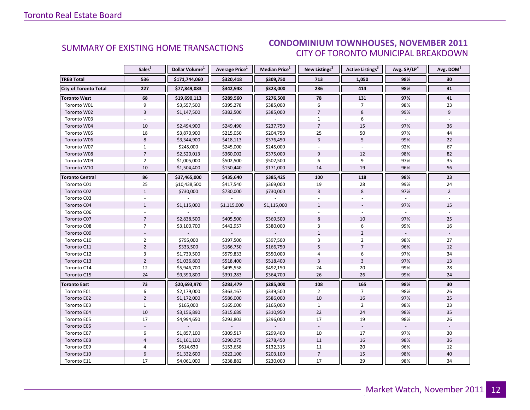### **OVEMBER 2011** CITY OF TORONTO MUNICIPAL BREAKDOWN SUMMARY OF EXISTING HOME TRANSACTIONS **CONDOMINIUM TOWNHOUSES, NOVEMBER 2011**

<span id="page-11-0"></span>

|                              | Sales <sup>1</sup> | Dollar Volume <sup>1</sup> | <b>Average Price</b> <sup>1</sup> | Median Price <sup>1</sup> | New Listings <sup>2</sup> | <b>Active Listings<sup>3</sup></b> | Avg. SP/LP <sup>4</sup> | Avg. DOM <sup>5</sup> |
|------------------------------|--------------------|----------------------------|-----------------------------------|---------------------------|---------------------------|------------------------------------|-------------------------|-----------------------|
| <b>TREB Total</b>            | 536                | \$171,744,060              | \$320,418                         | \$309,750                 | 713                       | 1,050                              | 98%                     | 30                    |
| <b>City of Toronto Total</b> | 227                | \$77,849,083               | \$342,948                         | \$323,000                 | 286                       | 414                                | 98%                     | 31                    |
| Toronto West                 | 68                 | \$19,690,113               | \$289,560                         | \$276,500                 | 78                        | 131                                | 97%                     | 41                    |
| Toronto W01                  | 9                  | \$3,557,500                | \$395,278                         | \$385,000                 | 6                         | $\overline{7}$                     | 98%                     | 23                    |
| Toronto W02                  | $\overline{3}$     | \$1,147,500                | \$382,500                         | \$385,000                 | $\overline{7}$            | 8                                  | 99%                     | 9                     |
| Toronto W03                  |                    |                            |                                   |                           | $\mathbf{1}$              | 6                                  |                         |                       |
| Toronto W04                  | 10                 | \$2,494,900                | \$249,490                         | \$237,750                 | $\overline{7}$            | 15                                 | 97%                     | 36                    |
| Toronto W05                  | 18                 | \$3,870,900                | \$215,050                         | \$204,750                 | 25                        | 50                                 | 97%                     | 44                    |
| Toronto W06                  | 8                  | \$3,344,900                | \$418,113                         | \$376,450                 | $\overline{3}$            | 5                                  | 99%                     | 22                    |
| Toronto W07                  | $\mathbf{1}$       | \$245,000                  | \$245,000                         | \$245,000                 |                           | $\omega$                           | 92%                     | 67                    |
| Toronto W08                  | $\overline{7}$     | \$2,520,013                | \$360,002                         | \$375,000                 | 9                         | 12                                 | 98%                     | 82                    |
| Toronto W09                  | $\overline{2}$     | \$1,005,000                | \$502,500                         | \$502,500                 | 6                         | 9                                  | 97%                     | 35                    |
| Toronto W10                  | 10                 | \$1,504,400                | \$150,440                         | \$171,000                 | 14                        | 19                                 | 96%                     | 56                    |
| <b>Toronto Central</b>       | 86                 | \$37,465,000               | \$435,640                         | \$385,425                 | 100                       | 118                                | 98%                     | 23                    |
| Toronto C01                  | 25                 | \$10,438,500               | \$417,540                         | \$369,000                 | 19                        | 28                                 | 99%                     | 24                    |
| Toronto C02                  | $\mathbf{1}$       | \$730,000                  | \$730,000                         | \$730,000                 | $\overline{3}$            | 8                                  | 97%                     | $\overline{2}$        |
| Toronto C03                  |                    |                            |                                   |                           |                           |                                    |                         |                       |
| Toronto C04                  | $\mathbf{1}$       | \$1,115,000                | \$1,115,000                       | \$1,115,000               | $\mathbf{1}$              |                                    | 97%                     | 15                    |
| Toronto C06                  |                    |                            |                                   |                           |                           |                                    |                         |                       |
| Toronto C07                  | $\overline{7}$     | \$2,838,500                | \$405,500                         | \$369,500                 | 8                         | 10                                 | 97%                     | 25                    |
| Toronto C08                  | $\overline{7}$     | \$3,100,700                | \$442,957                         | \$380,000                 | 3                         | 6                                  | 99%                     | 16                    |
| Toronto C09                  |                    |                            |                                   |                           | $\mathbf{1}$              | $\overline{2}$                     |                         |                       |
| Toronto C10                  | $\overline{2}$     | \$795,000                  | \$397,500                         | \$397,500                 | 3                         | $\overline{2}$                     | 98%                     | 27                    |
| Toronto C11                  | $\overline{2}$     | \$333,500                  | \$166,750                         | \$166,750                 | 5                         | $\overline{7}$                     | 96%                     | 12                    |
| Toronto C12                  | 3                  | \$1,739,500                | \$579,833                         | \$550,000                 | 4                         | 6                                  | 97%                     | 34                    |
| Toronto C13                  | $\overline{2}$     | \$1,036,800                | \$518,400                         | \$518,400                 | $\overline{3}$            | $\overline{3}$                     | 97%                     | 13                    |
| Toronto C14                  | 12                 | \$5,946,700                | \$495,558                         | \$492,150                 | 24                        | 20                                 | 99%                     | 28                    |
| Toronto C15                  | 24                 | \$9,390,800                | \$391,283                         | \$364,700                 | 26                        | 26                                 | 99%                     | 24                    |
| <b>Toronto East</b>          | 73                 | \$20,693,970               | \$283,479                         | \$285,000                 | 108                       | 165                                | 98%                     | 30                    |
| Toronto E01                  | 6                  | \$2,179,000                | \$363,167                         | \$339,500                 | $\overline{2}$            | $\overline{7}$                     | 98%                     | 26                    |
| Toronto E02                  | $\overline{2}$     | \$1,172,000                | \$586,000                         | \$586,000                 | 10                        | 16                                 | 97%                     | 25                    |
| Toronto E03                  | $\mathbf{1}$       | \$165,000                  | \$165,000                         | \$165,000                 | $\mathbf{1}$              | $\overline{2}$                     | 98%                     | 23                    |
| Toronto E04                  | 10                 | \$3,156,890                | \$315,689                         | \$310,950                 | 22                        | 24                                 | 98%                     | 35                    |
| Toronto E05                  | 17                 | \$4,994,650                | \$293,803                         | \$296,000                 | 17                        | 19                                 | 98%                     | 26                    |
| Toronto E06                  |                    |                            |                                   |                           |                           |                                    |                         |                       |
| Toronto E07                  | 6                  | \$1,857,100                | \$309,517                         | \$299,400                 | 10                        | 17                                 | 97%                     | 30                    |
| Toronto E08                  | $\overline{4}$     | \$1,161,100                | \$290,275                         | \$278,450                 | 11                        | 16                                 | 98%                     | 36                    |
| Toronto E09                  | $\overline{4}$     | \$614,630                  | \$153,658                         | \$132,315                 | 11                        | 20                                 | 96%                     | 12                    |
| Toronto E10                  | $\boldsymbol{6}$   | \$1,332,600                | \$222,100                         | \$203,100                 | $\overline{7}$            | 15                                 | 98%                     | 40                    |
| Toronto E11                  | 17                 | \$4,061,000                | \$238,882                         | \$230,000                 | 17                        | 29                                 | 98%                     | 34                    |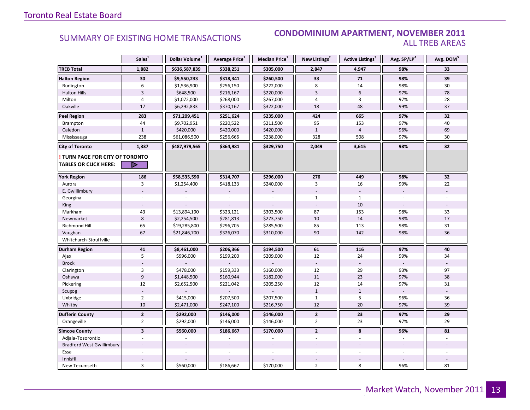### SUMMARY OF EXISTING HOME TRANSACTIONS **CONDOMINIUM APARTMENT, NOVEMBER 2011** ALL TREB AREAS

|                                        | Sales <sup>1</sup>      | Dollar Volume <sup>1</sup> | Average Price <sup>1</sup> | Median Price <sup>1</sup> | New Listings <sup>2</sup> | <b>Active Listings<sup>3</sup></b> | Avg. SP/LP <sup>4</sup> | Avg. DOM <sup>5</sup> |
|----------------------------------------|-------------------------|----------------------------|----------------------------|---------------------------|---------------------------|------------------------------------|-------------------------|-----------------------|
| <b>TREB Total</b>                      | 1,882                   | \$636,587,839              | \$338,251                  | \$305,000                 | 2,847                     | 4,947                              | 98%                     | 33                    |
| <b>Halton Region</b>                   | 30                      | \$9,550,233                | \$318,341                  | \$260,500                 | 33                        | 71                                 | 98%                     | 39                    |
| Burlington                             | 6                       | \$1,536,900                | \$256,150                  | \$222,000                 | 8                         | 14                                 | 98%                     | 30                    |
| <b>Halton Hills</b>                    | $\overline{3}$          | \$648,500                  | \$216,167                  | \$220,000                 | 3                         | 6                                  | 97%                     | 78                    |
| Milton                                 | 4                       | \$1,072,000                | \$268,000                  | \$267,000                 | 4                         | 3                                  | 97%                     | 28                    |
| Oakville                               | 17                      | \$6,292,833                | \$370,167                  | \$322,000                 | 18                        | 48                                 | 99%                     | 37                    |
| <b>Peel Region</b>                     | 283                     | \$71,209,451               | \$251,624                  | \$235,000                 | 424                       | 665                                | 97%                     | 32                    |
| Brampton                               | 44                      | \$9,702,951                | \$220,522                  | \$211,500                 | 95                        | 153                                | 97%                     | 40                    |
| Caledon                                | $\mathbf{1}$            | \$420,000                  | \$420,000                  | \$420,000                 | $\mathbf{1}$              | $\overline{4}$                     | 96%                     | 69                    |
| Mississauga                            | 238                     | \$61,086,500               | \$256,666                  | \$238,000                 | 328                       | 508                                | 97%                     | 30                    |
| <b>City of Toronto</b>                 | 1,337                   | \$487,979,565              | \$364,981                  | \$329,750                 | 2,049                     | 3,615                              | 98%                     | 32                    |
| <b>! TURN PAGE FOR CITY OF TORONTO</b> |                         |                            |                            |                           |                           |                                    |                         |                       |
| <b>TABLES OR CLICK HERE:</b>           | D                       |                            |                            |                           |                           |                                    |                         |                       |
| <b>York Region</b>                     | 186                     | \$58,535,590               | \$314,707                  | \$296,000                 | 276                       | 449                                | 98%                     | 32                    |
| Aurora                                 | 3                       | \$1,254,400                | \$418,133                  | \$240,000                 | 3                         | 16                                 | 99%                     | 22                    |
| E. Gwillimbury                         |                         |                            |                            |                           |                           |                                    |                         |                       |
| Georgina                               |                         |                            |                            |                           | $\mathbf{1}$              | $\mathbf{1}$                       |                         |                       |
| King                                   |                         |                            |                            |                           |                           | 10                                 |                         |                       |
| Markham                                | 43                      | \$13,894,190               | \$323,121                  | \$303,500                 | 87                        | 153                                | 98%                     | 33                    |
| Newmarket                              | $\,8\,$                 | \$2,254,500                | \$281,813                  | \$273,750                 | 10                        | 14                                 | 98%                     | 17                    |
| Richmond Hill                          | 65                      | \$19,285,800               | \$296,705                  | \$285,500                 | 85                        | 113                                | 98%                     | 31                    |
| Vaughan                                | 67                      | \$21,846,700               | \$326,070                  | \$310,000                 | 90                        | 142                                | 98%                     | 36                    |
| Whitchurch-Stouffville                 |                         |                            |                            |                           |                           |                                    |                         |                       |
| <b>Durham Region</b>                   | 41                      | \$8,461,000                | \$206,366                  | \$194,500                 | 61                        | 116                                | 97%                     | 40                    |
| Ajax                                   | 5                       | \$996,000                  | \$199,200                  | \$209,000                 | 12                        | 24                                 | 99%                     | 34                    |
| <b>Brock</b>                           |                         |                            |                            |                           |                           |                                    |                         |                       |
| Clarington                             | 3                       | \$478,000                  | \$159,333                  | \$160,000                 | 12                        | 29                                 | 93%                     | 97                    |
| Oshawa                                 | 9                       | \$1,448,500                | \$160,944                  | \$182,000                 | 11                        | 23                                 | 97%                     | 38                    |
| Pickering                              | 12                      | \$2,652,500                | \$221,042                  | \$205,250                 | 12                        | 14                                 | 97%                     | 31                    |
| Scugog                                 |                         |                            |                            |                           | $\mathbf{1}$              | $\mathbf{1}$                       |                         |                       |
| Uxbridge                               | $\overline{2}$          | \$415,000                  | \$207,500                  | \$207,500                 | $\mathbf{1}$              | 5                                  | 96%                     | 36                    |
| Whitby                                 | 10                      | \$2,471,000                | \$247,100                  | \$216,750                 | 12                        | 20                                 | 97%                     | 39                    |
| <b>Dufferin County</b>                 | $\overline{2}$          | \$292,000                  | \$146,000                  | \$146,000                 | $\mathbf{2}$              | 23                                 | 97%                     | 29                    |
| Orangeville                            | $\overline{2}$          | \$292,000                  | \$146,000                  | \$146,000                 | $\overline{2}$            | 23                                 | 97%                     | 29                    |
| <b>Simcoe County</b>                   | $\overline{\mathbf{3}}$ | \$560,000                  | \$186,667                  | \$170,000                 | $\overline{2}$            | 8                                  | 96%                     | 81                    |
| Adjala-Tosorontio                      |                         |                            |                            |                           |                           |                                    |                         |                       |
| <b>Bradford West Gwillimbury</b>       |                         |                            |                            |                           |                           |                                    |                         |                       |
| Essa                                   |                         |                            |                            |                           |                           |                                    |                         |                       |
| Innisfil                               |                         |                            |                            |                           |                           |                                    |                         |                       |
| New Tecumseth                          | 3                       | \$560,000                  | \$186,667                  | \$170,000                 | $\overline{2}$            | 8                                  | 96%                     | 81                    |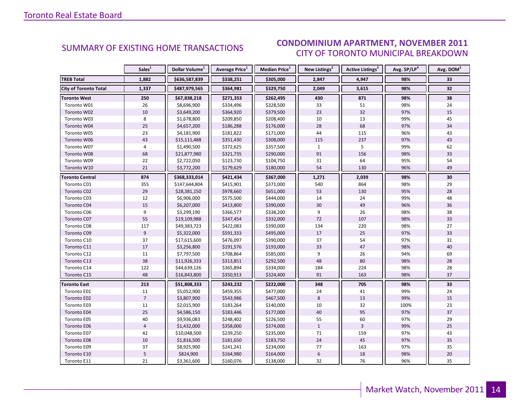### $\Omega$ VEMRER 2011 CITY OF TORONTO MUNICIPAL BREAKDOWN SUMMARY OF EXISTING HOME TRANSACTIONS **CONDOMINIUM APARTMENT, NOVEMBER 2011**

<span id="page-13-0"></span>

|                              | Sales <sup>1</sup> | Dollar Volume <sup>1</sup> | <b>Average Price</b> <sup>1</sup> | <b>Median Price</b> <sup>1</sup> | New Listings <sup>2</sup> | <b>Active Listings<sup>3</sup></b> | Avg. SP/LP <sup>4</sup> | Avg. DOM <sup>5</sup> |
|------------------------------|--------------------|----------------------------|-----------------------------------|----------------------------------|---------------------------|------------------------------------|-------------------------|-----------------------|
| <b>TREB Total</b>            | 1,882              | \$636,587,839              | \$338,251                         | \$305,000                        | 2,847                     | 4,947                              | 98%                     | 33                    |
| <b>City of Toronto Total</b> | 1,337              | \$487,979,565              | \$364,981                         | \$329,750                        | 2,049                     | 3,615                              | 98%                     | 32                    |
| <b>Toronto West</b>          | 250                | \$67,838,218               | \$271,353                         | \$262,495                        | 430                       | 871                                | 98%                     | 38                    |
| Toronto W01                  | 26                 | \$8,696,900                | \$334,496                         | \$328,500                        | 33                        | 51                                 | 98%                     | 24                    |
| Toronto W02                  | 10                 | \$3,649,200                | \$364,920                         | \$379,500                        | 23                        | 32                                 | 97%                     | 15                    |
| Toronto W03                  | 8                  | \$1,678,800                | \$209,850                         | \$208,400                        | 10                        | 13                                 | 99%                     | 45                    |
| Toronto W04                  | 25                 | \$4,657,200                | \$186,288                         | \$176,000                        | 28                        | 68                                 | 97%                     | 34                    |
| Toronto W05                  | 23                 | \$4,181,900                | \$181,822                         | \$171,000                        | 44                        | 115                                | 96%                     | 43                    |
| Toronto W06                  | 43                 | \$15,111,488               | \$351,430                         | \$308,000                        | 115                       | 237                                | 97%                     | 43                    |
| Toronto W07                  | $\overline{4}$     | \$1,490,500                | \$372,625                         | \$357,500                        | $\mathbf{1}$              | 5                                  | 99%                     | 62                    |
| Toronto W08                  | 68                 | \$21,877,980               | \$321,735                         | \$290,000                        | 91                        | 156                                | 98%                     | 33                    |
| Toronto W09                  | 22                 | \$2,722,050                | \$123,730                         | \$104,750                        | 31                        | 64                                 | 95%                     | 54                    |
| Toronto W10                  | 21                 | \$3,772,200                | \$179,629                         | \$180,000                        | 54                        | 130                                | 96%                     | 49                    |
| <b>Toronto Central</b>       | 874                | \$368,333,014              | \$421,434                         | \$367,000                        | 1,271                     | 2,039                              | 98%                     | 30                    |
| Toronto C01                  | 355                | \$147,644,804              | \$415,901                         | \$371,000                        | 540                       | 864                                | 98%                     | 29                    |
| Toronto C02                  | 29                 | \$28,381,150               | \$978,660                         | \$651,000                        | 53                        | 130                                | 95%                     | 28                    |
| Toronto C03                  | 12                 | \$6,906,000                | \$575,500                         | \$444,000                        | 14                        | 24                                 | 99%                     | 48                    |
| Toronto C04                  | 15                 | \$6,207,000                | \$413,800                         | \$390,000                        | 30                        | 49                                 | 96%                     | 36                    |
| Toronto C06                  | 9                  | \$3,299,190                | \$366,577                         | \$338,200                        | 9                         | 26                                 | 98%                     | 38                    |
| Toronto C07                  | 55                 | \$19,109,988               | \$347,454                         | \$332,000                        | 72                        | 107                                | 98%                     | 33                    |
| Toronto C08                  | 117                | \$49,383,723               | \$422,083                         | \$390,000                        | 134                       | 220                                | 98%                     | 27                    |
| Toronto C09                  | 9                  | \$5,322,000                | \$591,333                         | \$495,000                        | 17                        | 25                                 | 97%                     | 33                    |
| Toronto C10                  | 37                 | \$17,615,600               | \$476,097                         | \$390,000                        | 37                        | 54                                 | 97%                     | 31                    |
| Toronto C11                  | 17                 | \$3,256,800                | \$191,576                         | \$193,000                        | 33                        | 47                                 | 98%                     | 40                    |
| Toronto C12                  | 11                 | \$7,797,500                | \$708,864                         | \$585,000                        | 9                         | 26                                 | 94%                     | 69                    |
| Toronto C13                  | 38                 | \$11,926,333               | \$313,851                         | \$292,500                        | 48                        | 80                                 | 98%                     | 28                    |
| Toronto C14                  | 122                | \$44,639,126               | \$365,894                         | \$334,000                        | 184                       | 224                                | 98%                     | 28                    |
| Toronto C15                  | 48                 | \$16,843,800               | \$350,913                         | \$324,400                        | 91                        | 163                                | 98%                     | 37                    |
| <b>Toronto East</b>          | 213                | \$51,808,333               | \$243,232                         | \$222,000                        | 348                       | 705                                | 98%                     | 33                    |
| Toronto E01                  | 11                 | \$5,052,900                | \$459,355                         | \$477,000                        | 24                        | 41                                 | 99%                     | 24                    |
| Toronto E02                  | $\overline{7}$     | \$3,807,900                | \$543,986                         | \$467,500                        | 8                         | 13                                 | 99%                     | 15                    |
| Toronto E03                  | 11                 | \$2,015,900                | \$183,264                         | \$140,000                        | 10                        | 32                                 | 100%                    | 23                    |
| Toronto E04                  | 25                 | \$4,586,150                | \$183,446                         | \$177,000                        | 40                        | 95                                 | 97%                     | 37                    |
| Toronto E05                  | 40                 | \$9,936,083                | \$248,402                         | \$226,500                        | 55                        | 60                                 | 97%                     | 29                    |
| Toronto E06                  | $\overline{4}$     | \$1,432,000                | \$358,000                         | \$374,000                        | $\mathbf{1}$              | $\overline{3}$                     | 99%                     | 25                    |
| Toronto E07                  | 42                 | \$10,048,500               | \$239,250                         | \$235,000                        | 71                        | 159                                | 97%                     | 43                    |
| Toronto E08                  | $10\,$             | \$1,816,500                | \$181,650                         | \$183,750                        | 24                        | 45                                 | 97%                     | 35                    |
| Toronto E09                  | 37                 | \$8,925,900                | \$241,241                         | \$234,000                        | 77                        | 163                                | 97%                     | 35                    |
| Toronto E10                  | 5                  | \$824,900                  | \$164,980                         | \$164,000                        | $\boldsymbol{6}$          | 18                                 | 98%                     | 20                    |
| Toronto E11                  | 21                 | \$3,361,600                | \$160,076                         | \$138,000                        | 32                        | 76                                 | 96%                     | 35                    |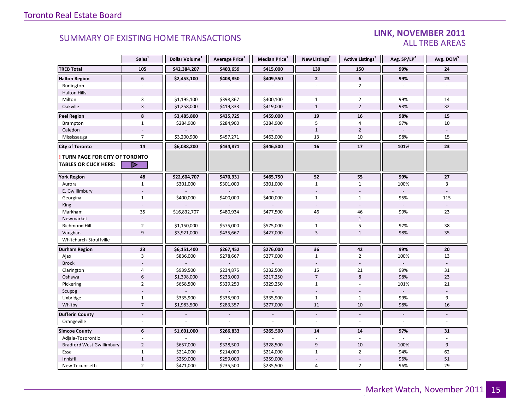### LINK, NOVEMBER 2011 ALL TREB AREAS

|                                                                        | Sales <sup>1</sup>       | Dollar Volume <sup>1</sup> | Average Price <sup>1</sup> | Median Price <sup>1</sup> | New Listings <sup>2</sup> | <b>Active Listings</b> <sup>3</sup> | Avg. SP/LP <sup>4</sup> | Avg. DOM <sup>5</sup> |
|------------------------------------------------------------------------|--------------------------|----------------------------|----------------------------|---------------------------|---------------------------|-------------------------------------|-------------------------|-----------------------|
| <b>TREB Total</b>                                                      | 105                      | \$42,384,207               | \$403,659                  | \$415,000                 | 139                       | 150                                 | 99%                     | 24                    |
| <b>Halton Region</b>                                                   | 6                        | \$2,453,100                | \$408,850                  | \$409,550                 | $\mathbf{2}$              | 6                                   | 99%                     | 23                    |
| Burlington                                                             | ä,                       |                            |                            |                           | $\overline{a}$            | $\overline{2}$                      | $\sim$                  |                       |
| <b>Halton Hills</b>                                                    |                          |                            |                            |                           |                           |                                     | $\sim$                  |                       |
| Milton                                                                 | $\overline{3}$           | \$1,195,100                | \$398,367                  | \$400,100                 | $\mathbf{1}$              | $\overline{2}$                      | 99%                     | 14                    |
| Oakville                                                               | $\overline{3}$           | \$1,258,000                | \$419,333                  | \$419,000                 | $\mathbf{1}$              | $\overline{2}$                      | 98%                     | 32                    |
| <b>Peel Region</b>                                                     | $\bf 8$                  | \$3,485,800                | \$435,725                  | \$459,000                 | 19                        | 16                                  | 98%                     | 15                    |
| <b>Brampton</b>                                                        | $\mathbf{1}$             | \$284,900                  | \$284,900                  | \$284,900                 | 5                         | $\overline{4}$                      | 97%                     | 10                    |
| Caledon                                                                |                          |                            |                            |                           | $\mathbf{1}$              | $\overline{2}$                      |                         |                       |
| Mississauga                                                            | $\overline{7}$           | \$3,200,900                | \$457,271                  | \$463,000                 | 13                        | 10                                  | 98%                     | 15                    |
| <b>City of Toronto</b>                                                 | 14                       | \$6,088,200                | \$434,871                  | \$446,500                 | 16                        | 17                                  | 101%                    | 23                    |
| <b>! TURN PAGE FOR CITY OF TORONTO</b><br><b>TABLES OR CLICK HERE:</b> | ▷                        |                            |                            |                           |                           |                                     |                         |                       |
| <b>York Region</b>                                                     | 48                       | \$22,604,707               | \$470,931                  | \$465,750                 | 52                        | 55                                  | 99%                     | 27                    |
| Aurora                                                                 | $\mathbf{1}$             | \$301,000                  | \$301,000                  | \$301,000                 | $\mathbf{1}$              | $\mathbf{1}$                        | 100%                    | 3                     |
| E. Gwillimbury                                                         |                          |                            |                            |                           |                           |                                     |                         |                       |
| Georgina                                                               | $\mathbf{1}$             | \$400,000                  | \$400,000                  | \$400,000                 | $\mathbf{1}$              | $\mathbf{1}$                        | 95%                     | 115                   |
| King                                                                   |                          |                            |                            |                           |                           |                                     |                         |                       |
| Markham                                                                | 35                       | \$16,832,707               | \$480,934                  | \$477,500                 | 46                        | 46                                  | 99%                     | 23                    |
| Newmarket                                                              |                          |                            |                            |                           |                           | $\mathbf{1}$                        |                         |                       |
| <b>Richmond Hill</b>                                                   | $\overline{2}$           | \$1,150,000                | \$575,000                  | \$575,000                 | $\mathbf{1}$              | 5                                   | 97%                     | 38                    |
| Vaughan                                                                | 9                        | \$3,921,000                | \$435,667                  | \$427,000                 | $\overline{3}$            | $\mathbf{1}$                        | 98%                     | 35                    |
| Whitchurch-Stouffville                                                 |                          |                            |                            |                           |                           |                                     | $\sim$                  |                       |
| <b>Durham Region</b>                                                   | 23                       | \$6,151,400                | \$267,452                  | \$276,000                 | 36                        | 42                                  | 99%                     | 20                    |
| Ajax                                                                   | $\overline{3}$           | \$836,000                  | \$278,667                  | \$277,000                 | $\mathbf{1}$              | $\overline{2}$                      | 100%                    | 13                    |
| <b>Brock</b>                                                           |                          |                            |                            |                           |                           |                                     |                         |                       |
| Clarington                                                             | $\overline{4}$           | \$939,500                  | \$234,875                  | \$232,500                 | 15                        | 21                                  | 99%                     | 31                    |
| Oshawa                                                                 | $\boldsymbol{6}$         | \$1,398,000                | \$233,000                  | \$217,250                 | $\overline{7}$            | 8                                   | 98%                     | 23                    |
| Pickering                                                              | $\overline{2}$           | \$658,500                  | \$329,250                  | \$329,250                 | $\mathbf{1}$              | $\overline{\phantom{a}}$            | 101%                    | 21                    |
| Scugog                                                                 |                          |                            |                            |                           |                           |                                     |                         |                       |
| Uxbridge                                                               | $\mathbf{1}$             | \$335,900                  | \$335,900                  | \$335,900                 | $\mathbf{1}$              | $\mathbf{1}$                        | 99%                     | 9                     |
| Whitby                                                                 | $\overline{7}$           | \$1,983,500                | \$283,357                  | \$277,000                 | 11                        | 10                                  | 98%                     | 16                    |
| <b>Dufferin County</b>                                                 | $\overline{\phantom{a}}$ |                            |                            |                           | $\blacksquare$            | $\blacksquare$                      | $\blacksquare$          |                       |
| Orangeville                                                            |                          |                            |                            |                           |                           |                                     | $\overline{a}$          |                       |
| <b>Simcoe County</b>                                                   | 6                        | \$1,601,000                | \$266,833                  | \$265,500                 | 14                        | 14                                  | 97%                     | 31                    |
| Adjala-Tosorontio                                                      |                          |                            |                            |                           |                           |                                     |                         |                       |
| <b>Bradford West Gwillimbury</b>                                       | $\overline{2}$           | \$657,000                  | \$328,500                  | \$328,500                 | 9                         | 10                                  | 100%                    | 9                     |
| Essa                                                                   | $\mathbf{1}$             | \$214,000                  | \$214,000                  | \$214,000                 | $\mathbf{1}$              | $\overline{2}$                      | 94%                     | 62                    |
| Innisfil                                                               | $\,1\,$                  | \$259,000                  | \$259,000                  | \$259,000                 |                           |                                     | 96%                     | 51                    |
| New Tecumseth                                                          | $\overline{2}$           | \$471,000                  | \$235,500                  | \$235,500                 | 4                         | $\overline{2}$                      | 96%                     | 29                    |

**Page 3 July 2010**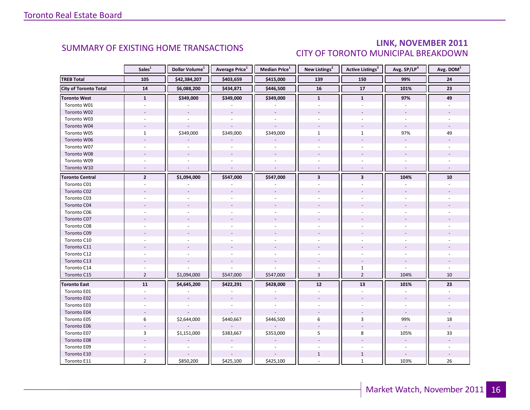### LINK, NOVEMBER 2011 CITY OF TORONTO MUNICIPAL BREAKDOWN

<span id="page-15-0"></span>

|                              | Sales <sup>1</sup> | Dollar Volume <sup>1</sup> | <b>Average Price</b> <sup>1</sup> | Median Price <sup>1</sup> | New Listings <sup>2</sup> | Active Listings <sup>3</sup> | Avg. SP/LP <sup>4</sup> | Avg. DOM <sup>5</sup> |
|------------------------------|--------------------|----------------------------|-----------------------------------|---------------------------|---------------------------|------------------------------|-------------------------|-----------------------|
| <b>TREB Total</b>            | 105                | \$42,384,207               | \$403,659                         | \$415,000                 | 139                       | 150                          | 99%                     | 24                    |
| <b>City of Toronto Total</b> | 14                 | \$6,088,200                | \$434,871                         | \$446,500                 | 16                        | 17                           | 101%                    | 23                    |
| <b>Toronto West</b>          | $\mathbf{1}$       | \$349,000                  | \$349,000                         | \$349,000                 | $\mathbf{1}$              | $\mathbf{1}$                 | 97%                     | 49                    |
| Toronto W01                  |                    |                            |                                   |                           |                           |                              |                         |                       |
| Toronto W02                  |                    |                            |                                   |                           |                           |                              |                         |                       |
| Toronto W03                  | ÷.                 |                            |                                   |                           |                           |                              |                         |                       |
| Toronto W04                  |                    |                            |                                   |                           |                           |                              |                         |                       |
| Toronto W05                  | $\mathbf{1}$       | \$349,000                  | \$349,000                         | \$349,000                 | $\mathbf{1}$              | $\mathbf{1}$                 | 97%                     | 49                    |
| Toronto W06                  |                    |                            |                                   |                           |                           |                              | $\overline{a}$          |                       |
| Toronto W07                  |                    |                            |                                   |                           |                           |                              |                         |                       |
| Toronto W08                  |                    |                            |                                   |                           |                           |                              |                         |                       |
| Toronto W09                  |                    |                            |                                   |                           |                           |                              |                         |                       |
| Toronto W10                  | $\sim$             |                            | $\overline{a}$                    | $\sim$                    | $\overline{\phantom{a}}$  | $\omega$                     | $\sim$                  |                       |
| <b>Toronto Central</b>       | $\overline{2}$     | \$1,094,000                | \$547,000                         | \$547,000                 | $\overline{\mathbf{3}}$   | $\overline{\mathbf{3}}$      | 104%                    | 10                    |
| Toronto C01                  |                    |                            |                                   |                           |                           |                              |                         |                       |
| Toronto C02                  |                    |                            |                                   |                           |                           |                              |                         |                       |
| Toronto C03                  |                    |                            |                                   |                           |                           |                              |                         |                       |
| Toronto C04                  |                    |                            |                                   |                           |                           |                              |                         |                       |
| Toronto C06                  |                    |                            |                                   |                           |                           |                              |                         |                       |
| Toronto C07                  |                    |                            |                                   |                           |                           |                              |                         |                       |
| Toronto C08                  |                    |                            |                                   |                           |                           |                              |                         |                       |
| Toronto C09                  |                    |                            |                                   |                           |                           |                              |                         |                       |
| Toronto C10                  |                    |                            |                                   |                           |                           |                              |                         |                       |
| Toronto C11                  |                    |                            |                                   |                           |                           |                              |                         |                       |
| Toronto C12                  |                    |                            |                                   |                           |                           |                              |                         |                       |
| Toronto C13                  |                    |                            |                                   |                           |                           |                              |                         |                       |
| Toronto C14                  |                    |                            |                                   |                           |                           | $\mathbf{1}$                 |                         |                       |
| Toronto C15                  | $\overline{2}$     | \$1,094,000                | \$547,000                         | \$547,000                 | $\overline{3}$            | $\overline{2}$               | 104%                    | 10                    |
| <b>Toronto East</b>          | 11                 | \$4,645,200                | \$422,291                         | \$428,000                 | 12                        | 13                           | 101%                    | 23                    |
| Toronto E01                  |                    |                            |                                   |                           |                           |                              |                         |                       |
| Toronto E02                  |                    |                            |                                   |                           |                           |                              |                         |                       |
| Toronto E03                  |                    |                            |                                   |                           |                           |                              |                         |                       |
| Toronto E04                  |                    |                            |                                   |                           |                           |                              |                         |                       |
| Toronto E05                  | 6                  | \$2,644,000                | \$440,667                         | \$446,500                 | 6                         | 3                            | 99%                     | 18                    |
| Toronto E06                  |                    |                            |                                   |                           |                           |                              |                         |                       |
| Toronto E07                  | 3                  | \$1,151,000                | \$383,667                         | \$353,000                 | 5                         | 8                            | 105%                    | 33                    |
| Toronto E08                  |                    |                            |                                   |                           |                           |                              |                         |                       |
| Toronto E09                  |                    |                            |                                   |                           |                           |                              | $\sim$                  |                       |
| Toronto E10                  |                    |                            |                                   |                           | $\mathbf{1}$              | $\mathbf{1}$                 |                         |                       |
| Toronto <sub>E11</sub>       | $\overline{2}$     | \$850,200                  | \$425,100                         | \$425,100                 |                           | $\mathbf{1}$                 | 103%                    | 26                    |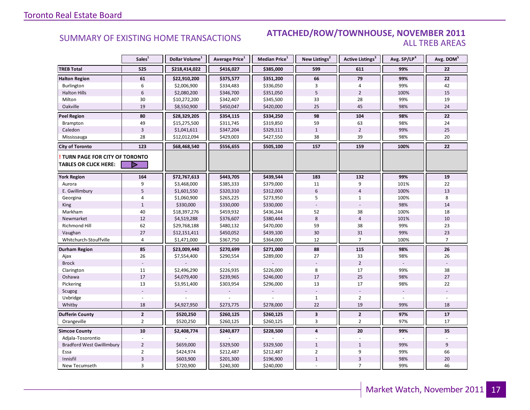### Industrial Leasing SUMMARY OF EXISTING HOME TRANSACTIONS **ATTACHED/ROW/TOWNHOUSE, NOVEMBER 2011** ALL TREB AREAS

|                                                               | Sales <sup>1</sup> | Dollar Volume <sup>1</sup> | Average Price <sup>1</sup> | Median Price <sup>1</sup> | New Listings <sup>2</sup> | Active Listings <sup>3</sup> | Avg. SP/LP4 | Avg. DOM <sup>5</sup> |
|---------------------------------------------------------------|--------------------|----------------------------|----------------------------|---------------------------|---------------------------|------------------------------|-------------|-----------------------|
| <b>TREB Total</b>                                             | 525                | \$218,414,022              | \$416,027                  | \$385,000                 | 599                       | 611                          | 99%         | 22                    |
| <b>Halton Region</b>                                          | 61                 | \$22,910,200               | \$375,577                  | \$351,200                 | 66                        | 79                           | 99%         | 22                    |
| Burlington                                                    | 6                  | \$2,006,900                | \$334,483                  | \$336,050                 | 3                         | $\overline{4}$               | 99%         | 42                    |
| <b>Halton Hills</b>                                           | $\boldsymbol{6}$   | \$2,080,200                | \$346,700                  | \$351,050                 | 5                         | $\overline{2}$               | 100%        | 15                    |
| Milton                                                        | 30                 | \$10,272,200               | \$342,407                  | \$345,500                 | 33                        | 28                           | 99%         | 19                    |
| Oakville                                                      | 19                 | \$8,550,900                | \$450,047                  | \$420,000                 | 25                        | 45                           | 98%         | 24                    |
| <b>Peel Region</b>                                            | 80                 | \$28,329,205               | \$354,115                  | \$334,250                 | 98                        | 104                          | 98%         | 22                    |
| Brampton                                                      | 49                 | \$15,275,500               | \$311,745                  | \$319,850                 | 59                        | 63                           | 98%         | 24                    |
| Caledon                                                       | $\overline{3}$     | \$1,041,611                | \$347,204                  | \$329,111                 | $\mathbf{1}$              | $\overline{2}$               | 99%         | 25                    |
| Mississauga                                                   | 28                 | \$12,012,094               | \$429,003                  | \$427,550                 | 38                        | 39                           | 98%         | 20                    |
| <b>City of Toronto</b>                                        | 123                | \$68,468,540               | \$556,655                  | \$505,100                 | 157                       | 159                          | 100%        | 22                    |
| TURN PAGE FOR CITY OF TORONTO<br><b>TABLES OR CLICK HERE:</b> | D                  |                            |                            |                           |                           |                              |             |                       |
| <b>York Region</b>                                            | 164                | \$72,767,613               | \$443,705                  | \$439,544                 | 183                       | 132                          | 99%         | 19                    |
| Aurora                                                        | 9                  | \$3,468,000                | \$385,333                  | \$379,000                 | 11                        | 9                            | 101%        | 22                    |
| E. Gwillimbury                                                | 5                  | \$1,601,550                | \$320,310                  | \$312,000                 | 6                         | $\overline{4}$               | 100%        | 13                    |
| Georgina                                                      | 4                  | \$1,060,900                | \$265,225                  | \$273,950                 | 5                         | $\mathbf{1}$                 | 100%        | 8                     |
| King                                                          | $1\,$              | \$330,000                  | \$330,000                  | \$330,000                 |                           |                              | 98%         | 14                    |
| Markham                                                       | 40                 | \$18,397,276               | \$459,932                  | \$436,244                 | 52                        | 38                           | 100%        | 18                    |
| Newmarket                                                     | $12\,$             | \$4,519,288                | \$376,607                  | \$380,444                 | 8                         | $\overline{4}$               | 101%        | 10                    |
| <b>Richmond Hill</b>                                          | 62                 | \$29,768,188               | \$480,132                  | \$470,000                 | 59                        | 38                           | 99%         | 23                    |
| Vaughan                                                       | 27                 | \$12,151,411               | \$450,052                  | \$439,100                 | 30                        | 31                           | 99%         | 23                    |
| Whitchurch-Stouffville                                        | $\overline{4}$     | \$1,471,000                | \$367,750                  | \$364,000                 | 12                        | $\overline{7}$               | 100%        | $\overline{7}$        |
| <b>Durham Region</b>                                          | 85                 | \$23,009,440               | \$270,699                  | \$271,000                 | 88                        | 115                          | 98%         | 26                    |
| Ajax                                                          | 26                 | \$7,554,400                | \$290,554                  | \$289,000                 | 27                        | 33                           | 98%         | 26                    |
| <b>Brock</b>                                                  |                    |                            |                            |                           |                           | $\overline{2}$               |             |                       |
| Clarington                                                    | 11                 | \$2,496,290                | \$226,935                  | \$226,000                 | 8                         | 17                           | 99%         | 38                    |
| Oshawa                                                        | 17                 | \$4,079,400                | \$239,965                  | \$246,000                 | 17                        | 25                           | 98%         | 27                    |
| Pickering                                                     | 13                 | \$3,951,400                | \$303,954                  | \$296,000                 | 13                        | 17                           | 98%         | 22                    |
| Scugog                                                        |                    |                            |                            |                           |                           |                              |             |                       |
| Uxbridge                                                      |                    |                            |                            |                           | $\mathbf{1}$              | $\overline{2}$               |             |                       |
| Whitby                                                        | 18                 | \$4,927,950                | \$273,775                  | \$278,000                 | 22                        | 19                           | 99%         | 18                    |
| <b>Dufferin County</b>                                        | $\mathbf{2}$       | \$520,250                  | \$260,125                  | \$260,125                 | $\mathbf{3}$              | $\overline{2}$               | 97%         | ${\bf 17}$            |
| Orangeville                                                   | $\overline{2}$     | \$520,250                  | \$260,125                  | \$260,125                 | 3                         | $\overline{2}$               | 97%         | 17                    |
| <b>Simcoe County</b>                                          | ${\bf 10}$         | \$2,408,774                | \$240,877                  | \$228,500                 | $\overline{\mathbf{4}}$   | 20                           | 99%         | 35                    |
| Adjala-Tosorontio                                             |                    |                            |                            |                           |                           |                              |             |                       |
| <b>Bradford West Gwillimbury</b>                              | $\overline{2}$     | \$659,000                  | \$329,500                  | \$329,500                 | $\mathbf{1}$              | $\mathbf{1}$                 | 99%         | 9                     |
| Essa                                                          | $\overline{2}$     | \$424,974                  | \$212,487                  | \$212,487                 | $\overline{2}$            | 9                            | 99%         | 66                    |
| Innisfil                                                      | $\mathsf 3$        | \$603,900                  | \$201,300                  | \$196,900                 | $\mathbf{1}$              | $\overline{3}$               | 98%         | 20                    |
| New Tecumseth                                                 | $\overline{3}$     | \$720,900                  | \$240,300                  | \$240,000                 |                           | $\overline{7}$               | 99%         | 46                    |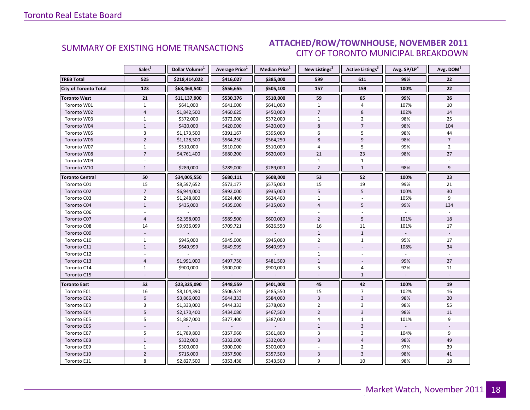### $\Omega$ VEMRER 2011 CITY OF TORONTO MUNICIPAL BREAKDOWN SUMMARY OF EXISTING HOME TRANSACTIONS **ATTACHED/ROW/TOWNHOUSE, NOVEMBER 2011**

<span id="page-17-0"></span>

|                              | Sales <sup>1</sup> | Dollar Volume <sup>1</sup> | <b>Average Price</b> <sup>1</sup> | Median Price <sup>1</sup> | New Listings <sup>2</sup> | <b>Active Listings<sup>3</sup></b> | Avg. SP/LP <sup>4</sup> | Avg. DOM <sup>5</sup> |
|------------------------------|--------------------|----------------------------|-----------------------------------|---------------------------|---------------------------|------------------------------------|-------------------------|-----------------------|
| <b>TREB Total</b>            | 525                | \$218,414,022              | \$416,027                         | \$385,000                 | 599                       | 611                                | 99%                     | 22                    |
| <b>City of Toronto Total</b> | 123                | \$68,468,540               | \$556,655                         | \$505,100                 | 157                       | 159                                | 100%                    | 22                    |
| <b>Toronto West</b>          | 21                 | \$11,137,900               | \$530,376                         | \$510,000                 | 59                        | 65                                 | 99%                     | 26                    |
| Toronto W01                  | $\mathbf{1}$       | \$641,000                  | \$641,000                         | \$641,000                 | $\mathbf{1}$              | 4                                  | 107%                    | 10                    |
| Toronto W02                  | $\overline{4}$     | \$1,842,500                | \$460,625                         | \$450,000                 | $\overline{7}$            | 8                                  | 102%                    | 14                    |
| Toronto W03                  | $\mathbf{1}$       | \$372,000                  | \$372,000                         | \$372,000                 | $\mathbf{1}$              | $\overline{2}$                     | 98%                     | 25                    |
| Toronto W04                  | $\mathbf{1}$       | \$420,000                  | \$420,000                         | \$420,000                 | 8                         | $\overline{7}$                     | 98%                     | 104                   |
| Toronto W05                  | 3                  | \$1,173,500                | \$391,167                         | \$395,000                 | 6                         | 5                                  | 98%                     | 44                    |
| Toronto W06                  | $\overline{2}$     | \$1,128,500                | \$564,250                         | \$564,250                 | 8                         | $\overline{9}$                     | 98%                     | $\overline{7}$        |
| Toronto W07                  | $\mathbf{1}$       | \$510,000                  | \$510,000                         | \$510,000                 | 4                         | 5                                  | 99%                     | $\overline{2}$        |
| Toronto W08                  | $\overline{7}$     | \$4,761,400                | \$680,200                         | \$620,000                 | 21                        | 23                                 | 98%                     | 27                    |
| Toronto W09                  |                    |                            |                                   |                           | 1                         | $\mathbf{1}$                       |                         |                       |
| Toronto W10                  | $\mathbf{1}$       | \$289,000                  | \$289,000                         | \$289,000                 | $\overline{2}$            | $\mathbf{1}$                       | 98%                     | 9                     |
| <b>Toronto Central</b>       | 50                 | \$34,005,550               | \$680,111                         | \$608,000                 | 53                        | 52                                 | 100%                    | 23                    |
| Toronto C01                  | 15                 | \$8,597,652                | \$573,177                         | \$575,000                 | 15                        | 19                                 | 99%                     | 21                    |
| Toronto C02                  | $\overline{7}$     | \$6,944,000                | \$992,000                         | \$935,000                 | 5                         | 5                                  | 100%                    | 30                    |
| Toronto C03                  | $\overline{2}$     | \$1,248,800                | \$624,400                         | \$624,400                 | $\mathbf{1}$              |                                    | 105%                    | 9                     |
| Toronto C04                  | $\mathbf{1}$       | \$435,000                  | \$435,000                         | \$435,000                 | $\overline{4}$            | 5                                  | 99%                     | 134                   |
| Toronto C06                  |                    |                            |                                   |                           |                           |                                    |                         |                       |
| Toronto C07                  | $\overline{4}$     | \$2,358,000                | \$589,500                         | \$600,000                 | $\overline{2}$            | 5                                  | 101%                    | 18                    |
| Toronto C08                  | 14                 | \$9,936,099                | \$709,721                         | \$626,550                 | 16                        | 11                                 | 101%                    | 17                    |
| Toronto C09                  |                    |                            |                                   |                           | $\mathbf 1$               | $\mathbf{1}$                       |                         |                       |
| Toronto C10                  | $\mathbf{1}$       | \$945,000                  | \$945,000                         | \$945,000                 | $\overline{2}$            | $\mathbf{1}$                       | 95%                     | 17                    |
| Toronto C11                  | $\mathbf{1}$       | \$649,999                  | \$649,999                         | \$649,999                 |                           |                                    | 108%                    | 34                    |
| Toronto C12                  |                    |                            |                                   |                           | $\mathbf{1}$              |                                    |                         |                       |
| Toronto C13                  | $\overline{4}$     | \$1,991,000                | \$497,750                         | \$481,500                 | $\mathbf 1$               |                                    | 99%                     | 27                    |
| Toronto C14                  | $\mathbf{1}$       | \$900,000                  | \$900,000                         | \$900,000                 | 5                         | 4                                  | 92%                     | 11                    |
| Toronto C15                  |                    |                            |                                   |                           |                           | $\mathbf{1}$                       |                         |                       |
| <b>Toronto East</b>          | 52                 | \$23,325,090               | \$448,559                         | \$401,000                 | 45                        | 42                                 | 100%                    | 19                    |
| Toronto E01                  | 16                 | \$8,104,390                | \$506,524                         | \$485,550                 | 15                        | $\overline{7}$                     | 102%                    | 16                    |
| Toronto E02                  | $6\,$              | \$3,866,000                | \$644,333                         | \$584,000                 | $\overline{3}$            | $\overline{3}$                     | 98%                     | 20                    |
| Toronto E03                  | 3                  | \$1,333,000                | \$444,333                         | \$378,000                 | $\overline{2}$            | 3                                  | 98%                     | 55                    |
| Toronto E04                  | 5                  | \$2,170,400                | \$434,080                         | \$467,500                 | $\overline{2}$            | 3                                  | 98%                     | 11                    |
| Toronto E05                  | 5                  | \$1,887,000                | \$377,400                         | \$387,000                 | 4                         | $\mathbf{1}$                       | 101%                    | 9                     |
| Toronto E06                  |                    |                            |                                   |                           | $\mathbf{1}$              | 3                                  |                         |                       |
| Toronto E07                  | 5                  | \$1,789,800                | \$357,960                         | \$361,800                 | 3                         | 3                                  | 104%                    | 9                     |
| <b>Toronto E08</b>           | $1\,$              | \$332,000                  | \$332,000                         | \$332,000                 | $\overline{3}$            | $\overline{4}$                     | 98%                     | 49                    |
| Toronto E09                  | $\mathbf{1}$       | \$300,000                  | \$300,000                         | \$300,000                 |                           | $\overline{2}$                     | 97%                     | 39                    |
| Toronto E10                  | $\overline{2}$     | \$715,000                  | \$357,500                         | \$357,500                 | 3                         | $\overline{\mathbf{3}}$            | 98%                     | 41                    |
| Toronto E11                  | 8                  | \$2,827,500                | \$353,438                         | \$343,500                 | 9                         | 10                                 | 98%                     | 18                    |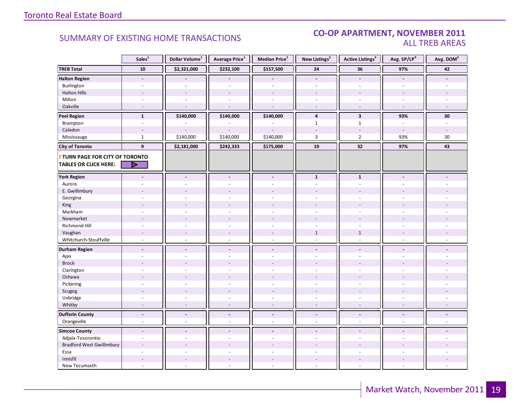### SUMMARY OF EXISTING HOME TRANSACTIONS **CO-OP APARTMENT, NOVEMBER 2011** ALL TREB AREAS

|                                        | Sales <sup>1</sup>       | Dollar Volume <sup>1</sup> | Average Price <sup>1</sup> | Median Price $^1$        | New Listings <sup>2</sup> | <b>Active Listings<sup>3</sup></b> | Avg. SP/LP <sup>4</sup>  | Avg. DOM <sup>5</sup>    |
|----------------------------------------|--------------------------|----------------------------|----------------------------|--------------------------|---------------------------|------------------------------------|--------------------------|--------------------------|
| <b>TREB Total</b>                      | 10                       | \$2,321,000                | \$232,100                  | \$157,500                | 24                        | 36                                 | 97%                      | 42                       |
| <b>Halton Region</b>                   | $\blacksquare$           |                            |                            |                          | $\blacksquare$            | $\blacksquare$                     | $\blacksquare$           |                          |
| Burlington                             |                          |                            |                            |                          |                           |                                    |                          |                          |
| <b>Halton Hills</b>                    |                          |                            |                            |                          |                           |                                    |                          |                          |
| Milton                                 | $\overline{\phantom{a}}$ | $\sim$                     | $\bar{a}$                  | $\omega$                 | $\sim$                    | $\sim$                             | ÷.                       |                          |
| Oakville                               | $\overline{\phantom{a}}$ | $\overline{\phantom{a}}$   | ÷,                         | $\overline{\phantom{a}}$ | $\bar{a}$                 | $\bar{a}$                          | $\overline{\phantom{a}}$ |                          |
| <b>Peel Region</b>                     | $\mathbf{1}$             | \$140,000                  | \$140,000                  | \$140,000                | $\overline{4}$            | $\overline{\mathbf{3}}$            | 93%                      | 30                       |
| Brampton                               | ÷,                       |                            |                            |                          | $\mathbf{1}$              | $1\,$                              | $\overline{a}$           |                          |
| Caledon                                |                          |                            |                            |                          |                           |                                    |                          |                          |
| Mississauga                            | $\mathbf{1}$             | \$140,000                  | \$140,000                  | \$140,000                | $\overline{3}$            | $\overline{2}$                     | 93%                      | 30                       |
| <b>City of Toronto</b>                 | 9                        | \$2,181,000                | \$242,333                  | \$175,000                | 19                        | 32                                 | 97%                      | 43                       |
| <b>! TURN PAGE FOR CITY OF TORONTO</b> |                          |                            |                            |                          |                           |                                    |                          |                          |
| <b>TABLES OR CLICK HERE:</b>           |                          |                            |                            |                          |                           |                                    |                          |                          |
|                                        |                          |                            |                            |                          |                           |                                    |                          |                          |
| <b>York Region</b>                     | $\blacksquare$           | $\overline{\phantom{a}}$   | $\overline{a}$             | $\overline{\phantom{a}}$ | $\mathbf{1}$              | $\mathbf{1}$                       | $\blacksquare$           |                          |
| Aurora                                 |                          |                            |                            |                          | $\sim$                    | $\overline{\phantom{a}}$           |                          |                          |
| E. Gwillimbury                         |                          |                            |                            |                          |                           |                                    |                          |                          |
| Georgina                               |                          |                            |                            |                          |                           |                                    |                          |                          |
| King                                   |                          |                            |                            |                          |                           |                                    |                          |                          |
| Markham                                | ÷,                       |                            | L.                         | ÷,                       | $\overline{a}$            | $\overline{\phantom{a}}$           |                          |                          |
| Newmarket                              |                          |                            |                            |                          |                           |                                    |                          |                          |
| Richmond Hill                          | ÷.                       |                            |                            |                          |                           |                                    |                          |                          |
| Vaughan                                |                          |                            | $\overline{a}$             | $\overline{\phantom{a}}$ | $\mathbf{1}$              | $\mathbf{1}$                       |                          |                          |
| Whitchurch-Stouffville                 | $\omega$                 | $\sim$                     | $\overline{a}$             | $\sim$                   | $\sim$                    | $\sim$                             | $\sim$                   |                          |
| <b>Durham Region</b>                   | $\blacksquare$           | $\overline{\phantom{a}}$   | $\blacksquare$             | $\overline{\phantom{a}}$ | $\overline{\phantom{a}}$  | $\blacksquare$                     | $\blacksquare$           |                          |
| Ajax                                   | ä,                       |                            |                            | ä,                       | $\overline{\phantom{a}}$  | $\overline{\phantom{a}}$           |                          |                          |
| <b>Brock</b>                           |                          |                            |                            |                          |                           |                                    |                          |                          |
| Clarington                             | ÷                        |                            |                            |                          |                           |                                    |                          |                          |
| Oshawa                                 |                          |                            |                            |                          |                           |                                    |                          |                          |
| Pickering                              | ÷.                       |                            |                            |                          | $\overline{a}$            | ÷.                                 |                          |                          |
| Scugog                                 |                          |                            |                            |                          |                           |                                    |                          |                          |
| Uxbridge                               | ÷.                       | ÷.                         | $\sim$                     | ÷.                       | $\sim$                    | ÷.                                 | ÷.                       |                          |
| Whitby                                 | $\overline{\phantom{a}}$ | $\sim$                     | $\overline{\phantom{a}}$   | $\sim$                   | $\sim$                    | $\sim$                             | $\sim$                   | $\overline{\phantom{a}}$ |
| <b>Dufferin County</b>                 | $\overline{a}$           | $\overline{a}$             | $\overline{a}$             | $\blacksquare$           | $\blacksquare$            | $\overline{a}$                     | $\blacksquare$           | $\overline{a}$           |
| Orangeville                            | $\overline{\phantom{a}}$ | $\sim$                     | ÷,                         | $\sim$                   | $\overline{\phantom{a}}$  | $\sim$                             | $\sim$                   | $\mathbf{r}$             |
| <b>Simcoe County</b>                   | $\overline{a}$           |                            | $\overline{a}$             |                          |                           |                                    |                          |                          |
| Adjala-Tosorontio                      | $\sim$                   | $\sim$                     | ÷.                         | $\sim$                   | $\sim$                    | ÷.                                 | $\sim$                   |                          |
| <b>Bradford West Gwillimbury</b>       |                          |                            |                            |                          |                           |                                    |                          |                          |
| Essa                                   | ÷.                       |                            |                            |                          |                           |                                    |                          |                          |
| Innisfil                               | $\overline{a}$           |                            | $\sim$                     | $\sim$                   | $\overline{a}$            | $\overline{a}$                     |                          |                          |
| New Tecumseth                          | ä,                       |                            | L.                         |                          |                           | $\overline{a}$                     |                          |                          |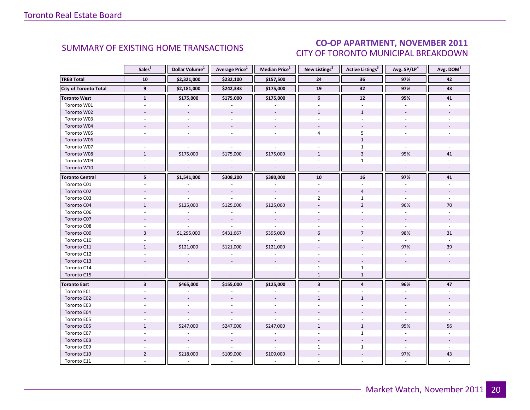### CO-OP APARTMENT, NOVEMBER 2011 CITY OF TORONTO MUNICIPAL BREAKDOWN

<span id="page-19-0"></span>

|                              | Sales <sup>1</sup>       | Dollar Volume <sup>1</sup> | <b>Average Price</b> <sup>1</sup> | <b>Median Price</b> <sup>1</sup> | New Listings <sup>2</sup> | <b>Active Listings<sup>3</sup></b> | Avg. SP/LP <sup>4</sup>  | Avg. DOM <sup>5</sup> |
|------------------------------|--------------------------|----------------------------|-----------------------------------|----------------------------------|---------------------------|------------------------------------|--------------------------|-----------------------|
| <b>TREB Total</b>            | 10                       | \$2,321,000                | \$232,100                         | \$157,500                        | 24                        | 36                                 | 97%                      | 42                    |
| <b>City of Toronto Total</b> | 9                        | \$2,181,000                | \$242,333                         | \$175,000                        | 19                        | 32                                 | 97%                      | 43                    |
| <b>Toronto West</b>          | $\mathbf{1}$             | \$175,000                  | \$175,000                         | \$175,000                        | 6                         | ${\bf 12}$                         | 95%                      | 41                    |
| Toronto W01                  |                          |                            |                                   |                                  |                           | $\omega$                           |                          |                       |
| Toronto W02                  |                          | $\overline{\phantom{a}}$   | $\blacksquare$                    |                                  | $\mathbf{1}$              | $\mathbf{1}$                       |                          |                       |
| Toronto W03                  | $\sim$                   |                            | $\omega$                          | $\omega$                         | $\sim$                    | ÷.                                 | ÷.                       |                       |
| Toronto W04                  |                          |                            |                                   |                                  |                           |                                    |                          |                       |
| Toronto W05                  |                          |                            |                                   |                                  | 4                         | 5                                  |                          |                       |
| Toronto W06                  |                          |                            | $\sim$                            |                                  |                           | $1\,$                              |                          |                       |
| Toronto W07                  | $\sim$                   |                            | ä,                                |                                  | $\omega$                  | $\mathbf{1}$                       | $\omega$                 |                       |
| Toronto W08                  | $\mathbf{1}$             | \$175,000                  | \$175,000                         | \$175,000                        | $\mathbf{1}$              | $\overline{3}$                     | 95%                      | 41                    |
| Toronto W09                  |                          |                            |                                   |                                  |                           | $\mathbf{1}$                       |                          |                       |
| Toronto W10                  | $\sim$                   | $\Box$                     | $\omega$                          | $\omega$                         | $\sim$                    | $\omega$                           | $\sim$                   | $\sim$                |
| <b>Toronto Central</b>       | 5                        | \$1,541,000                | \$308,200                         | \$380,000                        | 10                        | 16                                 | 97%                      | 41                    |
| Toronto C01                  |                          |                            |                                   |                                  |                           |                                    |                          |                       |
| Toronto C02                  |                          | $\overline{\phantom{a}}$   | $\overline{\phantom{a}}$          | $\overline{\phantom{a}}$         |                           | $\overline{4}$                     | $\sim$                   |                       |
| Toronto C03                  |                          |                            |                                   |                                  | $\overline{2}$            | $\mathbf{1}$                       |                          |                       |
| Toronto C04                  | $1\,$                    | \$125,000                  | \$125,000                         | \$125,000                        |                           | $\overline{2}$                     | 96%                      | 70                    |
| Toronto C06                  |                          |                            |                                   |                                  |                           |                                    |                          |                       |
| Toronto C07                  |                          | $\overline{\phantom{a}}$   | $\overline{\phantom{a}}$          |                                  |                           |                                    | $\omega$                 |                       |
| Toronto C08                  |                          |                            |                                   |                                  |                           |                                    |                          |                       |
| Toronto C09                  | $\overline{3}$           | \$1,295,000                | \$431,667                         | \$395,000                        | 6                         | $\overline{7}$                     | 98%                      | 31                    |
| Toronto C10                  |                          |                            |                                   |                                  |                           |                                    |                          |                       |
| Toronto C11                  | $\mathbf{1}$             | \$121,000                  | \$121,000                         | \$121,000                        |                           |                                    | 97%                      | 39                    |
| Toronto C12                  | $\sim$                   |                            |                                   |                                  | ÷                         |                                    |                          |                       |
| Toronto C13                  |                          |                            |                                   |                                  |                           |                                    |                          |                       |
| Toronto C14                  |                          |                            | $\overline{a}$                    |                                  | $\mathbf{1}$              | $\mathbf{1}$                       |                          |                       |
| Toronto C15                  | $\overline{\phantom{a}}$ |                            | $\bar{a}$                         |                                  | $\mathbf{1}$              | $\mathbf{1}$                       | $\omega$                 |                       |
| <b>Toronto East</b>          | $\overline{\mathbf{3}}$  | \$465,000                  | \$155,000                         | \$125,000                        | $\overline{\mathbf{3}}$   | $\overline{4}$                     | 96%                      | 47                    |
| Toronto E01                  |                          |                            |                                   |                                  |                           |                                    |                          |                       |
| Toronto E02                  |                          |                            |                                   |                                  | $\mathbf{1}$              | $\mathbf{1}$                       |                          |                       |
| Toronto E03                  |                          |                            |                                   |                                  |                           |                                    |                          |                       |
| Toronto E04                  |                          | $\overline{\phantom{a}}$   | $\Box$                            |                                  |                           |                                    | $\overline{\phantom{a}}$ |                       |
| Toronto E05                  | $\sim$                   |                            |                                   |                                  |                           | ÷.                                 | $\omega$                 |                       |
| Toronto E06                  | $\mathbf{1}$             | \$247,000                  | \$247,000                         | \$247,000                        | $\mathbf{1}$              | $\mathbf{1}$                       | 95%                      | 56                    |
| Toronto E07                  |                          |                            |                                   |                                  |                           | $\mathbf{1}$                       |                          |                       |
| Toronto E08                  |                          | $\sim$                     | $\mathbf{r}$                      |                                  |                           | $\overline{a}$                     | $\blacksquare$           |                       |
| Toronto E09                  |                          |                            |                                   |                                  | $\mathbf{1}$              | $\mathbf{1}$                       | $\blacksquare$           |                       |
| Toronto E10                  | $\overline{2}$           | \$218,000                  | \$109,000                         | \$109,000                        | $\overline{\phantom{a}}$  |                                    | 97%                      | 43                    |
| Toronto E11                  |                          |                            |                                   |                                  |                           |                                    |                          |                       |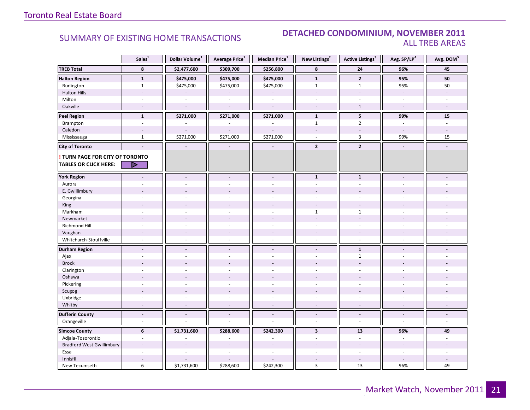### SUMMARY OF EXISTING HOME TRANSACTIONS **DETACHED CONDOMINIUM, NOVEMBER 2011** ALL TREB AREAS

|                                        | Sales <sup>1</sup>       | Dollar Volume <sup>1</sup> | Average Price <sup>1</sup> | Median Price <sup>1</sup> | New Listings <sup>2</sup> | <b>Active Listings<sup>3</sup></b> | Avg. SP/LP <sup>4</sup>  | Avg. DOM <sup>5</sup> |
|----------------------------------------|--------------------------|----------------------------|----------------------------|---------------------------|---------------------------|------------------------------------|--------------------------|-----------------------|
| <b>TREB Total</b>                      | 8                        | \$2,477,600                | \$309,700                  | \$256,800                 | 8                         | 24                                 | 96%                      | 45                    |
| <b>Halton Region</b>                   | $\mathbf{1}$             | \$475,000                  | \$475,000                  | \$475,000                 | $\mathbf{1}$              | $\overline{2}$                     | 95%                      | 50                    |
| Burlington                             | $\mathbf{1}$             | \$475,000                  | \$475,000                  | \$475,000                 | $\mathbf{1}$              | $\mathbf{1}$                       | 95%                      | 50                    |
| <b>Halton Hills</b>                    | ÷,                       |                            |                            |                           | $\overline{\phantom{a}}$  | $\sim$                             | $\overline{\phantom{a}}$ |                       |
| Milton                                 |                          | $\sim$                     |                            |                           | $\sim$                    |                                    |                          |                       |
| Oakville                               | $\overline{a}$           | $\overline{\phantom{a}}$   | $\sim$                     | $\overline{a}$            | $\overline{\phantom{a}}$  | $\mathbf{1}$                       | $\sim$                   | $\sim$                |
| <b>Peel Region</b>                     | $\mathbf{1}$             | \$271,000                  | \$271,000                  | \$271,000                 | $\mathbf{1}$              | 5                                  | 99%                      | 15                    |
| Brampton                               | $\sim$                   |                            |                            |                           | $\mathbf{1}$              | $\overline{2}$                     | $\mathcal{L}$            | $\overline{a}$        |
| Caledon                                |                          | $\overline{a}$             |                            |                           | $\overline{a}$            |                                    | $\sim$                   |                       |
| Mississauga                            | $\mathbf{1}$             | \$271,000                  | \$271,000                  | \$271,000                 | $\overline{a}$            | 3                                  | 99%                      | 15                    |
| <b>City of Toronto</b>                 |                          | $\overline{\phantom{a}}$   | $\blacksquare$             | $\blacksquare$            | $\overline{2}$            | $\overline{2}$                     | $\blacksquare$           |                       |
| <b>! TURN PAGE FOR CITY OF TORONTO</b> |                          |                            |                            |                           |                           |                                    |                          |                       |
| <b>TABLES OR CLICK HERE:</b>           | D                        |                            |                            |                           |                           |                                    |                          |                       |
| <b>York Region</b>                     |                          |                            |                            | $\overline{a}$            | $\mathbf 1$               | $\mathbf{1}$                       | $\blacksquare$           |                       |
| Aurora                                 |                          |                            |                            |                           |                           |                                    |                          |                       |
| E. Gwillimbury                         |                          |                            |                            |                           |                           |                                    |                          |                       |
| Georgina                               |                          |                            |                            |                           | ÷,                        |                                    |                          |                       |
| King                                   |                          |                            |                            |                           | $\overline{a}$            |                                    |                          |                       |
| Markham                                | ä,                       | ä,                         |                            | ä,                        | $\mathbf{1}$              | $\mathbf{1}$                       | ÷,                       |                       |
| Newmarket                              |                          |                            |                            |                           |                           |                                    |                          |                       |
| Richmond Hill                          |                          |                            |                            |                           |                           |                                    |                          |                       |
| Vaughan                                |                          |                            |                            |                           | $\overline{\phantom{a}}$  |                                    |                          |                       |
| Whitchurch-Stouffville                 | $\sim$                   | $\sim$                     | $\sim$                     | $\overline{a}$            | $\sim$                    | $\sim$                             | $\sim$                   |                       |
| <b>Durham Region</b>                   | $\overline{\phantom{a}}$ | $\blacksquare$             | $\sim$                     | $\blacksquare$            | $\tilde{\phantom{a}}$     | $\mathbf{1}$                       | $\blacksquare$           |                       |
| Ajax                                   |                          |                            |                            |                           | $\overline{\phantom{a}}$  | $\mathbf{1}$                       | ÷,                       |                       |
| <b>Brock</b>                           |                          |                            |                            |                           |                           |                                    |                          |                       |
| Clarington                             |                          |                            |                            |                           |                           |                                    |                          |                       |
| Oshawa                                 |                          |                            |                            |                           |                           |                                    |                          |                       |
| Pickering                              | ÷                        |                            |                            |                           | $\overline{a}$            |                                    |                          |                       |
| Scugog                                 |                          |                            |                            |                           |                           |                                    |                          |                       |
| Uxbridge                               | $\overline{a}$           | $\overline{a}$             |                            | ٠                         | ÷.                        | $\overline{a}$                     | ÷.                       |                       |
| Whitby                                 | $\overline{a}$           | $\overline{\phantom{a}}$   |                            | $\overline{a}$            | $\overline{a}$            | $\overline{\phantom{a}}$           | $\overline{a}$           |                       |
| <b>Dufferin County</b>                 | $\overline{a}$           | $\overline{a}$             | $\mathbf{r}$               | $\overline{a}$            | $\overline{a}$            | $\blacksquare$                     | $\overline{a}$           | $\overline{a}$        |
| Orangeville                            | $\sim$                   | ÷,                         | ÷.                         | L.                        | $\overline{a}$            | $\sim$                             | $\sim$                   | $\overline{a}$        |
| <b>Simcoe County</b>                   | 6                        | \$1,731,600                | \$288,600                  | \$242,300                 | $\overline{\mathbf{3}}$   | 13                                 | 96%                      | 49                    |
| Adjala-Tosorontio                      | ä,                       |                            |                            |                           |                           | $\sim$                             | $\overline{a}$           |                       |
| <b>Bradford West Gwillimbury</b>       |                          |                            |                            |                           |                           |                                    |                          |                       |
| Essa                                   | ÷                        | ÷.                         |                            | L.                        |                           | $\sim$                             | ÷.                       |                       |
| Innisfil                               |                          |                            |                            |                           |                           |                                    |                          |                       |
| New Tecumseth                          | 6                        | \$1,731,600                | \$288,600                  | \$242,300                 | $\overline{3}$            | 13                                 | 96%                      | 49                    |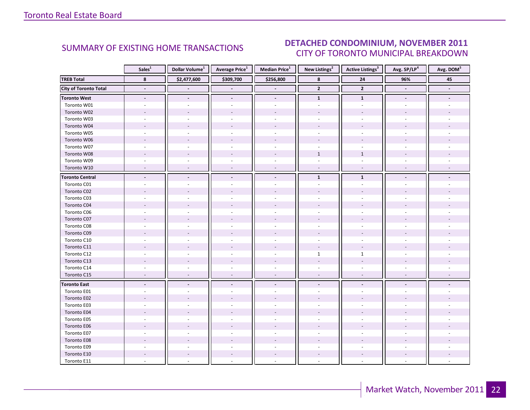### $\Omega$ VEMRER 2011 CITY OF TORONTO MUNICIPAL BREAKDOWN SUMMARY OF EXISTING HOME TRANSACTIONS **DETACHED CONDOMINIUM, NOVEMBER 2011**

<span id="page-21-0"></span>

|                              | Sales <sup>1</sup>       | Dollar Volume <sup>1</sup> | <b>Average Price</b> <sup>1</sup> | <b>Median Price</b> <sup>1</sup> | New Listings <sup>2</sup> | <b>Active Listings</b> <sup>3</sup> | Avg. SP/LP4    | Avg. DOM <sup>5</sup> |
|------------------------------|--------------------------|----------------------------|-----------------------------------|----------------------------------|---------------------------|-------------------------------------|----------------|-----------------------|
| <b>TREB Total</b>            | 8                        | \$2,477,600                | \$309,700                         | \$256,800                        | 8                         | 24                                  | 96%            | 45                    |
| <b>City of Toronto Total</b> | $\blacksquare$           |                            |                                   |                                  | $\mathbf{2}$              | $\mathbf{2}$                        | $\blacksquare$ |                       |
| <b>Toronto West</b>          | $\overline{\phantom{a}}$ | $\overline{\phantom{a}}$   | $\overline{\phantom{a}}$          | $\overline{\phantom{a}}$         | $\mathbf{1}$              | $\mathbf{1}$                        | $\blacksquare$ |                       |
| Toronto W01                  |                          |                            |                                   |                                  |                           |                                     |                |                       |
| Toronto W02                  |                          |                            |                                   |                                  |                           |                                     |                |                       |
| Toronto W03                  |                          |                            |                                   |                                  |                           |                                     |                |                       |
| Toronto W04                  |                          |                            |                                   |                                  |                           |                                     |                |                       |
| Toronto W05                  |                          |                            |                                   |                                  |                           |                                     |                |                       |
| Toronto W06                  |                          |                            |                                   |                                  |                           |                                     |                |                       |
| Toronto W07                  |                          |                            |                                   |                                  |                           |                                     |                |                       |
| Toronto W08                  |                          |                            |                                   |                                  | $\mathbf{1}$              | $\mathbf{1}$                        |                |                       |
| Toronto W09                  |                          |                            |                                   |                                  |                           |                                     |                |                       |
| Toronto W10                  |                          |                            |                                   |                                  |                           |                                     |                |                       |
| <b>Toronto Central</b>       |                          |                            |                                   | $\blacksquare$                   | $\mathbf{1}$              | $\mathbf{1}$                        |                |                       |
| Toronto C01                  |                          |                            |                                   |                                  |                           |                                     |                |                       |
| Toronto C02                  |                          |                            |                                   |                                  |                           |                                     |                |                       |
| Toronto C03                  |                          |                            |                                   |                                  |                           |                                     |                |                       |
| Toronto C04                  |                          |                            |                                   |                                  |                           |                                     |                |                       |
| Toronto C06                  |                          |                            |                                   |                                  |                           |                                     |                |                       |
| Toronto C07                  |                          |                            |                                   |                                  |                           |                                     |                |                       |
| Toronto C08                  |                          |                            |                                   |                                  |                           |                                     |                |                       |
| Toronto C09                  |                          |                            |                                   |                                  |                           |                                     |                |                       |
| Toronto C10                  |                          |                            |                                   |                                  |                           |                                     |                |                       |
| Toronto C11                  |                          |                            |                                   |                                  |                           |                                     |                |                       |
| Toronto C12                  |                          |                            |                                   |                                  | $\mathbf{1}$              | $\mathbf{1}$                        |                |                       |
| Toronto C13                  |                          |                            |                                   |                                  |                           |                                     |                |                       |
| Toronto C14                  |                          |                            |                                   |                                  |                           |                                     |                |                       |
| Toronto C15                  |                          |                            | $\overline{\phantom{a}}$          | $\sim$                           | $\sim$                    | $\overline{a}$                      |                |                       |
| <b>Toronto East</b>          |                          |                            |                                   | $\overline{a}$                   |                           |                                     |                |                       |
| Toronto E01                  |                          |                            |                                   |                                  |                           |                                     |                |                       |
| Toronto E02                  |                          |                            |                                   |                                  |                           |                                     |                |                       |
| Toronto E03                  |                          |                            |                                   |                                  |                           |                                     |                |                       |
| Toronto E04                  |                          |                            |                                   |                                  |                           |                                     |                |                       |
| Toronto E05                  |                          |                            |                                   |                                  |                           |                                     |                |                       |
| Toronto E06                  |                          |                            |                                   |                                  |                           |                                     |                |                       |
| Toronto E07                  |                          |                            |                                   |                                  |                           |                                     |                |                       |
| Toronto E08                  |                          |                            |                                   |                                  |                           |                                     |                |                       |
| Toronto E09                  |                          |                            |                                   |                                  |                           |                                     |                |                       |
| Toronto E10                  |                          |                            |                                   |                                  |                           |                                     |                |                       |
| Toronto E11                  |                          |                            |                                   |                                  |                           |                                     |                |                       |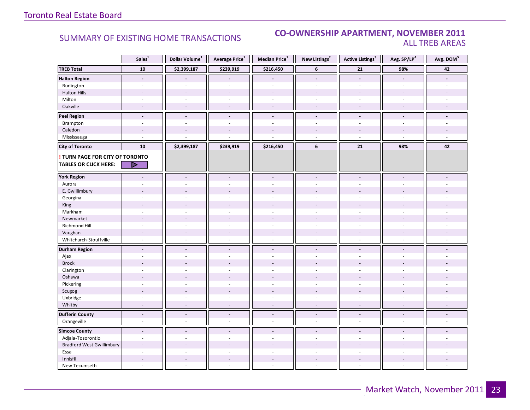### SUMMARY OF EXISTING HOME TRANSACTIONS **CO-OWNERSHIP APARTMENT, NOVEMBER 2011** ALL TREB AREAS

|                                  | Sales <sup>1</sup>       | Dollar Volume <sup>1</sup> | Average Price <sup>1</sup> | Median Price <sup>1</sup> | New Listings <sup>2</sup> | Active Listings <sup>3</sup> | Avg. SP/LP <sup>4</sup>  | Avg. DOM <sup>5</sup> |
|----------------------------------|--------------------------|----------------------------|----------------------------|---------------------------|---------------------------|------------------------------|--------------------------|-----------------------|
| <b>TREB Total</b>                | 10                       | \$2,399,187                | \$239,919                  | \$216,450                 | 6                         | 21                           | 98%                      | 42                    |
| <b>Halton Region</b>             | $\overline{\phantom{a}}$ |                            |                            |                           | $\blacksquare$            | $\blacksquare$               |                          |                       |
| Burlington                       | $\omega$                 | $\sim$                     | $\sim$                     | $\overline{a}$            | $\sim$                    | $\sim$                       | $\sim$                   |                       |
| <b>Halton Hills</b>              |                          |                            |                            |                           |                           |                              |                          |                       |
| Milton                           | $\overline{\phantom{a}}$ | $\sim$                     | ÷.                         | ÷,                        | ÷.                        | ÷.                           | ÷.                       |                       |
| Oakville                         | ٠                        | $\sim$                     | $\overline{\phantom{a}}$   | ÷,                        | $\sim$                    | $\sim$                       | $\overline{\phantom{a}}$ |                       |
| <b>Peel Region</b>               | $\blacksquare$           | $\blacksquare$             | $\blacksquare$             | $\blacksquare$            | $\blacksquare$            | $\blacksquare$               | $\overline{a}$           |                       |
| Brampton                         | $\overline{\phantom{a}}$ | $\sim$                     | $\sim$                     | $\overline{\phantom{a}}$  | $\sim$                    | $\sim$                       | ÷.                       |                       |
| Caledon                          | $\overline{\phantom{a}}$ | $\overline{a}$             |                            |                           |                           |                              |                          |                       |
| Mississauga                      | $\overline{a}$           |                            |                            |                           | $\sim$                    | $\overline{a}$               | $\overline{a}$           |                       |
| <b>City of Toronto</b>           | 10                       | \$2,399,187                | \$239,919                  | \$216,450                 | 6                         | 21                           | 98%                      | 42                    |
| ! TURN PAGE FOR CITY OF TORONTO  |                          |                            |                            |                           |                           |                              |                          |                       |
| <b>TABLES OR CLICK HERE:</b>     | ▷                        |                            |                            |                           |                           |                              |                          |                       |
| <b>York Region</b>               |                          |                            |                            | $\overline{\phantom{a}}$  | $\overline{a}$            |                              |                          |                       |
| Aurora                           |                          |                            |                            |                           |                           |                              |                          |                       |
| E. Gwillimbury                   |                          |                            |                            |                           |                           |                              |                          |                       |
| Georgina                         |                          |                            |                            |                           |                           |                              |                          |                       |
| King                             |                          |                            |                            |                           |                           |                              |                          |                       |
| Markham                          | ÷                        | $\overline{a}$             | ÷.                         | ä,                        | ÷                         | ÷.                           | $\overline{a}$           |                       |
| Newmarket                        |                          |                            |                            |                           |                           |                              |                          |                       |
| <b>Richmond Hill</b>             | L.                       |                            |                            |                           |                           |                              |                          |                       |
| Vaughan                          | $\overline{\phantom{a}}$ | $\sim$                     | $\overline{a}$             | $\overline{a}$            | $\overline{\phantom{a}}$  | $\overline{\phantom{a}}$     | $\overline{a}$           |                       |
| Whitchurch-Stouffville           | $\overline{\phantom{a}}$ | $\sim$                     | $\bar{a}$                  | ä,                        | $\omega$                  | $\sim$                       | $\bar{a}$                |                       |
| <b>Durham Region</b>             | $\overline{a}$           | $\overline{\phantom{a}}$   | $\overline{a}$             | $\overline{a}$            | $\overline{a}$            | $\overline{a}$               | $\overline{a}$           |                       |
| Ajax                             |                          |                            |                            |                           |                           |                              |                          |                       |
| <b>Brock</b>                     |                          |                            |                            |                           |                           |                              |                          |                       |
| Clarington                       |                          |                            |                            |                           |                           |                              |                          |                       |
| Oshawa                           |                          |                            |                            |                           |                           |                              |                          |                       |
| Pickering                        | $\overline{\phantom{a}}$ |                            |                            | ä,                        | ÷                         | $\sim$                       |                          |                       |
| Scugog                           | $\overline{a}$           |                            |                            | $\overline{a}$            |                           | $\overline{a}$               |                          |                       |
| Uxbridge                         |                          |                            |                            |                           |                           |                              |                          |                       |
| Whitby                           |                          |                            |                            |                           |                           |                              |                          |                       |
| <b>Dufferin County</b>           | $\blacksquare$           | $\blacksquare$             | $\blacksquare$             | $\frac{1}{2}$             | $\blacksquare$            | $\blacksquare$               | $\blacksquare$           |                       |
| Orangeville                      | ä,                       | $\overline{a}$             | ÷,                         | L.                        | $\omega$                  | $\sim$                       | ÷,                       |                       |
| <b>Simcoe County</b>             | $\blacksquare$           | $\sim$                     | $\overline{a}$             | $\overline{\phantom{a}}$  | $\sim$                    | $\sim$                       | $\overline{a}$           |                       |
| Adjala-Tosorontio                |                          |                            |                            |                           |                           |                              |                          |                       |
| <b>Bradford West Gwillimbury</b> | $\overline{a}$           |                            |                            | $\overline{a}$            |                           |                              |                          |                       |
| Essa                             | $\overline{\phantom{a}}$ |                            |                            | L.                        | ÷,                        | $\sim$                       | ÷                        |                       |
| Innisfil                         |                          |                            |                            | $\overline{a}$            |                           |                              |                          |                       |
| New Tecumseth                    |                          |                            |                            |                           |                           |                              |                          |                       |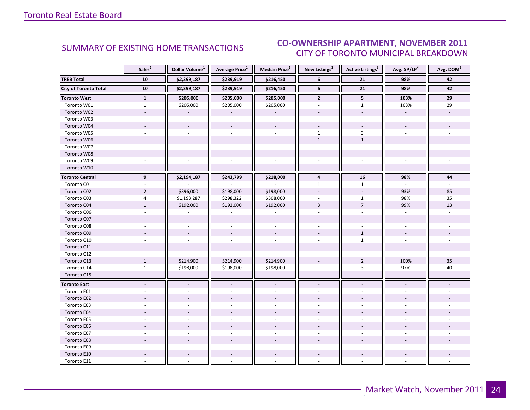### $\Omega$ VEMRER 2011 CITY OF TORONTO MUNICIPAL BREAKDOWN SUMMARY OF EXISTING HOME TRANSACTIONS **CO-OWNERSHIP APARTMENT, NOVEMBER 2011**

<span id="page-23-0"></span>

|                              | Sales <sup>1</sup> | Dollar Volume <sup>1</sup> | <b>Average Price</b> <sup>1</sup> | Median Price <sup>1</sup> | New Listings <sup>2</sup> | Active Listings <sup>3</sup> | Avg. SP/LP <sup>4</sup>  | Avg. DOM <sup>5</sup> |
|------------------------------|--------------------|----------------------------|-----------------------------------|---------------------------|---------------------------|------------------------------|--------------------------|-----------------------|
| <b>TREB Total</b>            | 10                 | \$2,399,187                | \$239,919                         | \$216,450                 | 6                         | 21                           | 98%                      | 42                    |
| <b>City of Toronto Total</b> | 10                 | \$2,399,187                | \$239,919                         | \$216,450                 | $6\phantom{1}$            | $\overline{21}$              | 98%                      | 42                    |
| <b>Toronto West</b>          | $\mathbf{1}$       | \$205,000                  | \$205,000                         | \$205,000                 | $\overline{2}$            | 5                            | 103%                     | 29                    |
| Toronto W01                  | $\mathbf{1}$       | \$205,000                  | \$205,000                         | \$205,000                 |                           | $\mathbf{1}$                 | 103%                     | 29                    |
| Toronto W02                  | $\sim$             |                            |                                   |                           |                           | ÷,                           | $\overline{\phantom{a}}$ |                       |
| Toronto W03                  | $\sim$             | $\omega$                   | $\omega$                          | $\sim$                    | $\sim$                    | ÷.                           | $\omega$                 |                       |
| Toronto W04                  |                    |                            | $\overline{\phantom{a}}$          | $\sim$                    |                           |                              |                          |                       |
| Toronto W05                  |                    |                            |                                   | $\omega$                  | $\mathbf{1}$              | 3                            |                          |                       |
| Toronto W06                  |                    |                            | $\overline{\phantom{a}}$          | $\sim$                    | $\mathbf{1}$              | $\mathbf{1}$                 |                          |                       |
| Toronto W07                  | $\sim$             |                            | ÷.                                | $\sim$                    | $\sim$                    | $\sim$                       | $\sim$                   |                       |
| Toronto W08                  |                    |                            |                                   |                           |                           |                              |                          |                       |
| Toronto W09                  |                    |                            |                                   |                           |                           | ÷                            |                          |                       |
| Toronto W10                  | $\sim$             |                            | $\overline{a}$                    | $\sim$                    | $\omega$                  | $\omega$                     | $\sim$                   |                       |
| <b>Toronto Central</b>       | 9                  | \$2,194,187                | \$243,799                         | \$218,000                 | $\overline{\mathbf{4}}$   | 16                           | 98%                      | 44                    |
| Toronto C01                  |                    |                            |                                   |                           | $\mathbf{1}$              | $\mathbf{1}$                 |                          |                       |
| Toronto C02                  | $\overline{2}$     | \$396,000                  | \$198,000                         | \$198,000                 |                           | $\sim$                       | 93%                      | 85                    |
| Toronto C03                  | 4                  | \$1,193,287                | \$298,322                         | \$308,000                 |                           | $\mathbf{1}$                 | 98%                      | 35                    |
| Toronto C04                  | $1\,$              | \$192,000                  | \$192,000                         | \$192,000                 | 3                         | $\overline{7}$               | 99%                      | 13                    |
| Toronto C06                  |                    |                            |                                   |                           |                           |                              |                          |                       |
| Toronto C07                  |                    |                            |                                   |                           |                           |                              |                          |                       |
| Toronto C08                  |                    |                            |                                   | $\sim$                    |                           |                              |                          |                       |
| Toronto C09                  |                    |                            |                                   |                           |                           | $\mathbf{1}$                 |                          |                       |
| Toronto C10                  |                    |                            |                                   |                           |                           | $\mathbf{1}$                 |                          |                       |
| Toronto C11                  |                    |                            |                                   | $\sim$                    |                           |                              |                          |                       |
| Toronto C12                  |                    |                            |                                   |                           |                           |                              |                          |                       |
| Toronto C13                  | $1\,$              | \$214,900                  | \$214,900                         | \$214,900                 |                           | $\overline{2}$               | 100%                     | 35                    |
| Toronto C14                  | $\mathbf{1}$       | \$198,000                  | \$198,000                         | \$198,000                 |                           | $\overline{3}$               | 97%                      | 40                    |
| Toronto C15                  | $\sim$             | $\omega$                   | $\omega$                          | $\overline{\phantom{a}}$  | $\overline{\phantom{a}}$  | $\sim$                       | $\omega$                 |                       |
| <b>Toronto East</b>          | $\frac{1}{2}$      |                            |                                   | $\blacksquare$            |                           |                              |                          |                       |
| Toronto E01                  |                    |                            | $\overline{a}$                    | $\mathbf{r}$              |                           |                              |                          |                       |
| Toronto E02                  |                    |                            |                                   |                           |                           |                              |                          |                       |
| Toronto E03                  |                    |                            |                                   |                           |                           |                              |                          |                       |
| Toronto E04                  |                    |                            |                                   |                           |                           |                              |                          |                       |
| Toronto E05                  |                    |                            |                                   | $\mathbf{r}$              |                           |                              |                          |                       |
| Toronto E06                  |                    |                            |                                   |                           |                           |                              |                          |                       |
| Toronto E07                  |                    |                            |                                   |                           |                           |                              |                          |                       |
| Toronto E08                  |                    |                            |                                   |                           |                           |                              |                          |                       |
| Toronto E09                  |                    |                            |                                   |                           |                           |                              |                          |                       |
| Toronto E10                  |                    |                            |                                   | $\overline{\phantom{a}}$  |                           |                              |                          |                       |
| Toronto E11                  |                    |                            |                                   |                           |                           |                              |                          |                       |